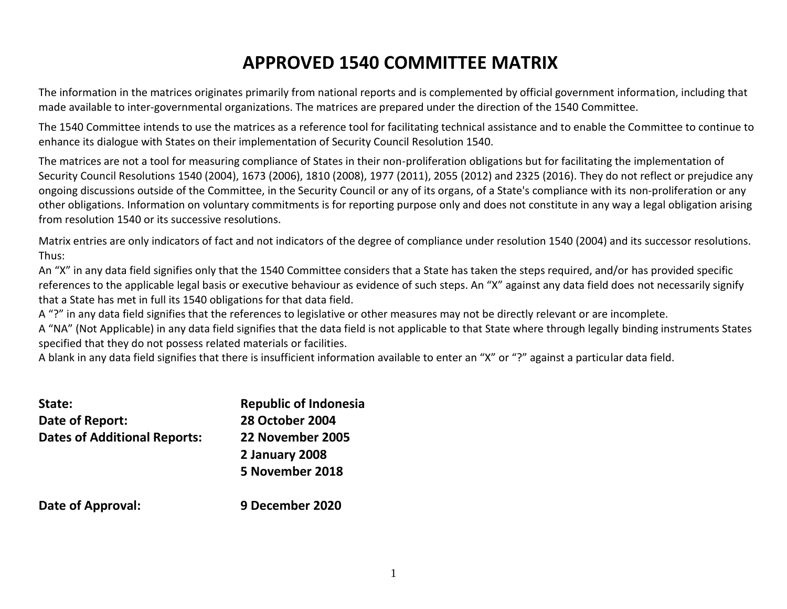## **APPROVED 1540 COMMITTEE MATRIX**

The information in the matrices originates primarily from national reports and is complemented by official government information, including that made available to inter-governmental organizations. The matrices are prepared under the direction of the 1540 Committee.

The 1540 Committee intends to use the matrices as a reference tool for facilitating technical assistance and to enable the Committee to continue to enhance its dialogue with States on their implementation of Security Council Resolution 1540.

The matrices are not a tool for measuring compliance of States in their non-proliferation obligations but for facilitating the implementation of Security Council Resolutions 1540 (2004), 1673 (2006), 1810 (2008), 1977 (2011), 2055 (2012) and 2325 (2016). They do not reflect or prejudice any ongoing discussions outside of the Committee, in the Security Council or any of its organs, of a State's compliance with its non-proliferation or any other obligations. Information on voluntary commitments is for reporting purpose only and does not constitute in any way a legal obligation arising from resolution 1540 or its successive resolutions.

Matrix entries are only indicators of fact and not indicators of the degree of compliance under resolution 1540 (2004) and its successor resolutions. Thus:

An "X" in any data field signifies only that the 1540 Committee considers that a State has taken the steps required, and/or has provided specific references to the applicable legal basis or executive behaviour as evidence of such steps. An "X" against any data field does not necessarily signify that a State has met in full its 1540 obligations for that data field.

A "?" in any data field signifies that the references to legislative or other measures may not be directly relevant or are incomplete.

A "NA" (Not Applicable) in any data field signifies that the data field is not applicable to that State where through legally binding instruments States specified that they do not possess related materials or facilities.

A blank in any data field signifies that there is insufficient information available to enter an "X" or "?" against a particular data field.

| State:                              | <b>Republic of Indonesia</b> |
|-------------------------------------|------------------------------|
| Date of Report:                     | <b>28 October 2004</b>       |
| <b>Dates of Additional Reports:</b> | 22 November 2005             |
|                                     | 2 January 2008               |
|                                     | 5 November 2018              |
| Date of Approval:                   | 9 December 2020              |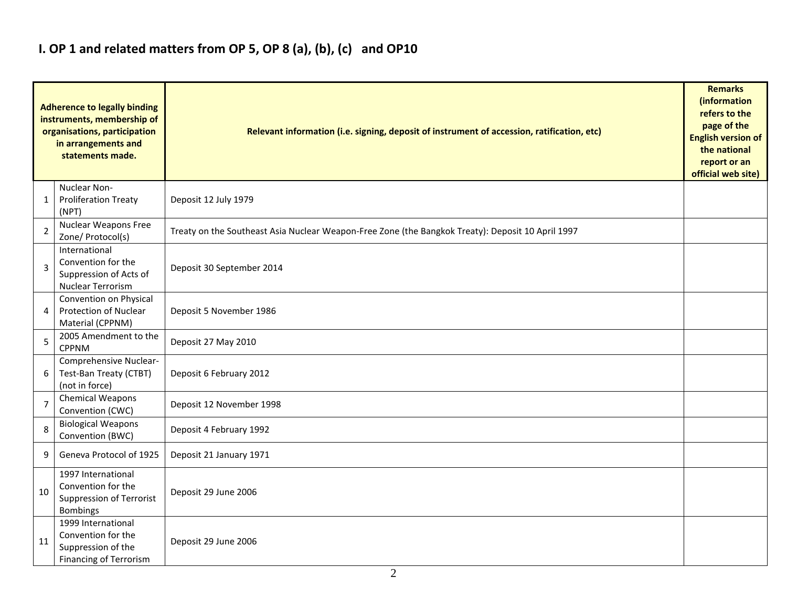### **I. OP 1 and related matters from OP 5, OP 8 (a), (b), (c) and OP10**

|                | <b>Adherence to legally binding</b><br>instruments, membership of<br>organisations, participation<br>in arrangements and<br>statements made. | Relevant information (i.e. signing, deposit of instrument of accession, ratification, etc)        |  |  |  |  |  |  |  |  |
|----------------|----------------------------------------------------------------------------------------------------------------------------------------------|---------------------------------------------------------------------------------------------------|--|--|--|--|--|--|--|--|
| 1              | Nuclear Non-<br><b>Proliferation Treaty</b><br>(NPT)                                                                                         | Deposit 12 July 1979                                                                              |  |  |  |  |  |  |  |  |
| 2              | <b>Nuclear Weapons Free</b><br>Zone/ Protocol(s)                                                                                             | Treaty on the Southeast Asia Nuclear Weapon-Free Zone (the Bangkok Treaty): Deposit 10 April 1997 |  |  |  |  |  |  |  |  |
| 3              | International<br>Convention for the<br>Suppression of Acts of<br>Nuclear Terrorism                                                           | Deposit 30 September 2014                                                                         |  |  |  |  |  |  |  |  |
| 4              | Convention on Physical<br><b>Protection of Nuclear</b><br>Material (CPPNM)                                                                   | Deposit 5 November 1986                                                                           |  |  |  |  |  |  |  |  |
| 5              | 2005 Amendment to the<br><b>CPPNM</b>                                                                                                        | Deposit 27 May 2010                                                                               |  |  |  |  |  |  |  |  |
| 6              | Comprehensive Nuclear-<br>Test-Ban Treaty (CTBT)<br>(not in force)                                                                           | Deposit 6 February 2012                                                                           |  |  |  |  |  |  |  |  |
| $\overline{7}$ | Chemical Weapons<br>Convention (CWC)                                                                                                         | Deposit 12 November 1998                                                                          |  |  |  |  |  |  |  |  |
| 8              | <b>Biological Weapons</b><br>Convention (BWC)                                                                                                | Deposit 4 February 1992                                                                           |  |  |  |  |  |  |  |  |
| 9              | Geneva Protocol of 1925                                                                                                                      | Deposit 21 January 1971                                                                           |  |  |  |  |  |  |  |  |
| 10             | 1997 International<br>Convention for the<br>Suppression of Terrorist<br>Bombings                                                             | Deposit 29 June 2006                                                                              |  |  |  |  |  |  |  |  |
| 11             | 1999 International<br>Convention for the<br>Suppression of the<br><b>Financing of Terrorism</b>                                              | Deposit 29 June 2006                                                                              |  |  |  |  |  |  |  |  |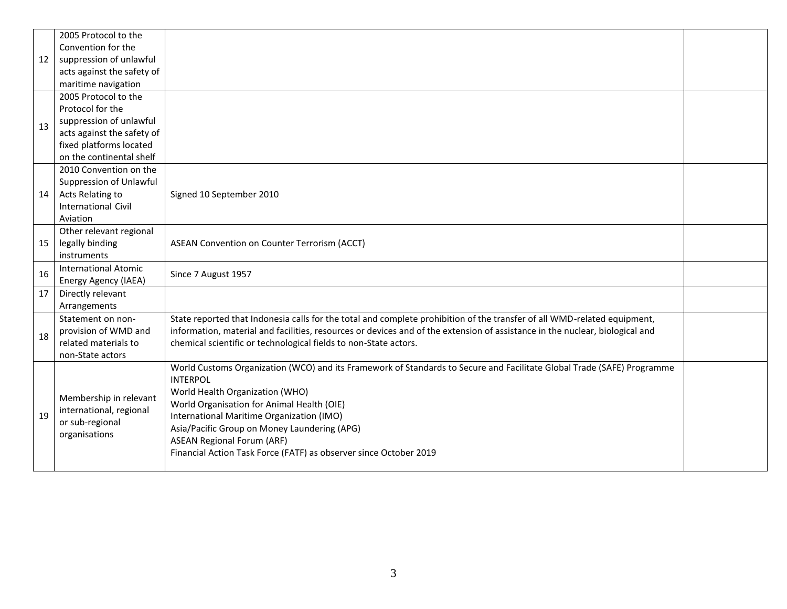|    | 2005 Protocol to the        |                                                                                                                              |  |
|----|-----------------------------|------------------------------------------------------------------------------------------------------------------------------|--|
|    | Convention for the          |                                                                                                                              |  |
| 12 | suppression of unlawful     |                                                                                                                              |  |
|    | acts against the safety of  |                                                                                                                              |  |
|    | maritime navigation         |                                                                                                                              |  |
|    | 2005 Protocol to the        |                                                                                                                              |  |
|    | Protocol for the            |                                                                                                                              |  |
| 13 | suppression of unlawful     |                                                                                                                              |  |
|    | acts against the safety of  |                                                                                                                              |  |
|    | fixed platforms located     |                                                                                                                              |  |
|    | on the continental shelf    |                                                                                                                              |  |
|    | 2010 Convention on the      |                                                                                                                              |  |
|    | Suppression of Unlawful     |                                                                                                                              |  |
| 14 | Acts Relating to            | Signed 10 September 2010                                                                                                     |  |
|    | <b>International Civil</b>  |                                                                                                                              |  |
|    | Aviation                    |                                                                                                                              |  |
|    | Other relevant regional     |                                                                                                                              |  |
| 15 | legally binding             | ASEAN Convention on Counter Terrorism (ACCT)                                                                                 |  |
|    | instruments                 |                                                                                                                              |  |
| 16 | <b>International Atomic</b> | Since 7 August 1957                                                                                                          |  |
|    | Energy Agency (IAEA)        |                                                                                                                              |  |
| 17 | Directly relevant           |                                                                                                                              |  |
|    | Arrangements                |                                                                                                                              |  |
|    | Statement on non-           | State reported that Indonesia calls for the total and complete prohibition of the transfer of all WMD-related equipment,     |  |
| 18 | provision of WMD and        | information, material and facilities, resources or devices and of the extension of assistance in the nuclear, biological and |  |
|    | related materials to        | chemical scientific or technological fields to non-State actors.                                                             |  |
|    | non-State actors            |                                                                                                                              |  |
|    |                             | World Customs Organization (WCO) and its Framework of Standards to Secure and Facilitate Global Trade (SAFE) Programme       |  |
|    |                             | <b>INTERPOL</b>                                                                                                              |  |
|    | Membership in relevant      | World Health Organization (WHO)                                                                                              |  |
|    | international, regional     | World Organisation for Animal Health (OIE)                                                                                   |  |
| 19 | or sub-regional             | International Maritime Organization (IMO)                                                                                    |  |
|    | organisations               | Asia/Pacific Group on Money Laundering (APG)                                                                                 |  |
|    |                             | <b>ASEAN Regional Forum (ARF)</b>                                                                                            |  |
|    |                             | Financial Action Task Force (FATF) as observer since October 2019                                                            |  |
|    |                             |                                                                                                                              |  |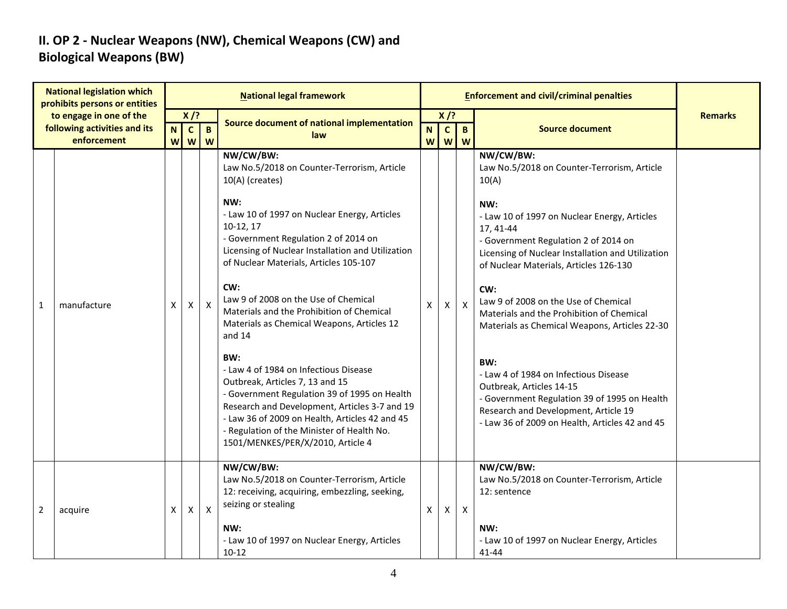### **II. OP 2 - Nuclear Weapons (NW), Chemical Weapons (CW) and Biological Weapons (BW)**

|                | <b>National legislation which</b><br>prohibits persons or entities     |                  |                             |                   | <b>National legal framework</b>                                                                                                                                                                                                                                                                                       |        |                             | <b>Enforcement and civil/criminal penalties</b> |                                                                                                                                                                                                                    |                |
|----------------|------------------------------------------------------------------------|------------------|-----------------------------|-------------------|-----------------------------------------------------------------------------------------------------------------------------------------------------------------------------------------------------------------------------------------------------------------------------------------------------------------------|--------|-----------------------------|-------------------------------------------------|--------------------------------------------------------------------------------------------------------------------------------------------------------------------------------------------------------------------|----------------|
|                | to engage in one of the<br>following activities and its<br>enforcement | $\mathbf N$<br>W | $X$ /?<br>$\mathbf{C}$<br>W | $\mathbf{B}$<br>W | Source document of national implementation<br>law                                                                                                                                                                                                                                                                     | N<br>W | $X$ /?<br>$\mathbf{c}$<br>W | $\mathbf{B}$<br>W                               | <b>Source document</b>                                                                                                                                                                                             | <b>Remarks</b> |
|                |                                                                        |                  |                             |                   | NW/CW/BW:<br>Law No.5/2018 on Counter-Terrorism, Article<br>10(A) (creates)                                                                                                                                                                                                                                           |        |                             |                                                 | NW/CW/BW:<br>Law No.5/2018 on Counter-Terrorism, Article<br>10(A)                                                                                                                                                  |                |
|                |                                                                        |                  |                             |                   | NW:<br>- Law 10 of 1997 on Nuclear Energy, Articles<br>10-12, 17<br>- Government Regulation 2 of 2014 on<br>Licensing of Nuclear Installation and Utilization<br>of Nuclear Materials, Articles 105-107                                                                                                               |        |                             |                                                 | NW:<br>- Law 10 of 1997 on Nuclear Energy, Articles<br>17, 41-44<br>- Government Regulation 2 of 2014 on<br>Licensing of Nuclear Installation and Utilization<br>of Nuclear Materials, Articles 126-130            |                |
| $\mathbf 1$    | manufacture                                                            | X                | $\mathsf X$                 | $\boldsymbol{X}$  | CW:<br>Law 9 of 2008 on the Use of Chemical<br>Materials and the Prohibition of Chemical<br>Materials as Chemical Weapons, Articles 12<br>and 14                                                                                                                                                                      | X      | $\mathsf{X}^-$              | $\mathsf{X}$                                    | CW:<br>Law 9 of 2008 on the Use of Chemical<br>Materials and the Prohibition of Chemical<br>Materials as Chemical Weapons, Articles 22-30                                                                          |                |
|                |                                                                        |                  |                             |                   | BW:<br>- Law 4 of 1984 on Infectious Disease<br>Outbreak, Articles 7, 13 and 15<br>- Government Regulation 39 of 1995 on Health<br>Research and Development, Articles 3-7 and 19<br>- Law 36 of 2009 on Health, Articles 42 and 45<br>- Regulation of the Minister of Health No.<br>1501/MENKES/PER/X/2010, Article 4 |        |                             |                                                 | BW:<br>- Law 4 of 1984 on Infectious Disease<br>Outbreak, Articles 14-15<br>- Government Regulation 39 of 1995 on Health<br>Research and Development, Article 19<br>- Law 36 of 2009 on Health, Articles 42 and 45 |                |
| $\overline{2}$ | acquire                                                                | X                | $\mathsf{X}$                | $\mathsf{X}$      | NW/CW/BW:<br>Law No.5/2018 on Counter-Terrorism, Article<br>12: receiving, acquiring, embezzling, seeking,<br>seizing or stealing<br>NW:<br>- Law 10 of 1997 on Nuclear Energy, Articles<br>$10 - 12$                                                                                                                 | X.     | X                           | $\mathsf{X}$                                    | NW/CW/BW:<br>Law No.5/2018 on Counter-Terrorism, Article<br>12: sentence<br>NW:<br>- Law 10 of 1997 on Nuclear Energy, Articles<br>41-44                                                                           |                |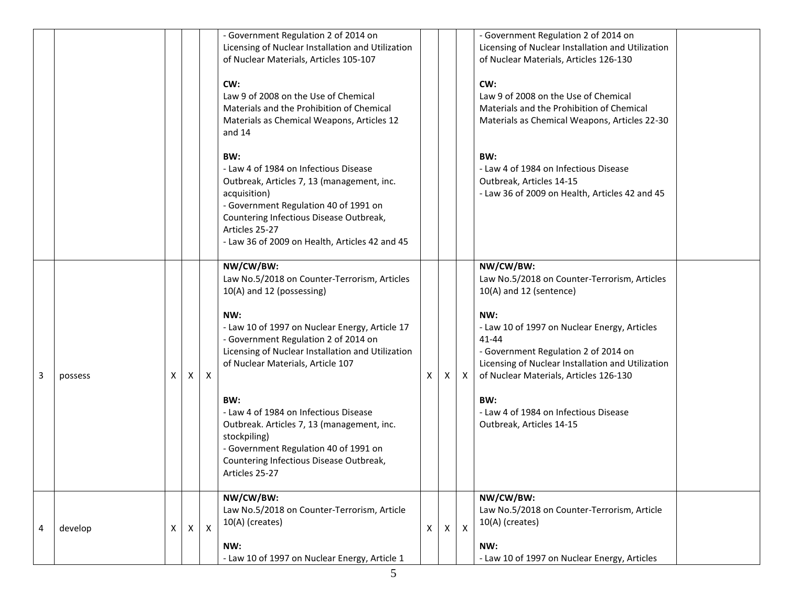|   |         |   |              |              | - Government Regulation 2 of 2014 on<br>Licensing of Nuclear Installation and Utilization<br>of Nuclear Materials, Articles 105-107<br>CW:<br>Law 9 of 2008 on the Use of Chemical<br>Materials and the Prohibition of Chemical<br>Materials as Chemical Weapons, Articles 12<br>and $14$                                                                                                                                                                                                             |              |          |              | - Government Regulation 2 of 2014 on<br>Licensing of Nuclear Installation and Utilization<br>of Nuclear Materials, Articles 126-130<br>CW:<br>Law 9 of 2008 on the Use of Chemical<br>Materials and the Prohibition of Chemical<br>Materials as Chemical Weapons, Articles 22-30                                                                                            |  |
|---|---------|---|--------------|--------------|-------------------------------------------------------------------------------------------------------------------------------------------------------------------------------------------------------------------------------------------------------------------------------------------------------------------------------------------------------------------------------------------------------------------------------------------------------------------------------------------------------|--------------|----------|--------------|-----------------------------------------------------------------------------------------------------------------------------------------------------------------------------------------------------------------------------------------------------------------------------------------------------------------------------------------------------------------------------|--|
|   |         |   |              |              | BW:<br>- Law 4 of 1984 on Infectious Disease<br>Outbreak, Articles 7, 13 (management, inc.<br>acquisition)<br>- Government Regulation 40 of 1991 on<br>Countering Infectious Disease Outbreak,<br>Articles 25-27<br>- Law 36 of 2009 on Health, Articles 42 and 45                                                                                                                                                                                                                                    |              |          |              | BW:<br>- Law 4 of 1984 on Infectious Disease<br>Outbreak, Articles 14-15<br>- Law 36 of 2009 on Health, Articles 42 and 45                                                                                                                                                                                                                                                  |  |
| 3 | possess | х | X            | X            | NW/CW/BW:<br>Law No.5/2018 on Counter-Terrorism, Articles<br>10(A) and 12 (possessing)<br>NW:<br>- Law 10 of 1997 on Nuclear Energy, Article 17<br>- Government Regulation 2 of 2014 on<br>Licensing of Nuclear Installation and Utilization<br>of Nuclear Materials, Article 107<br>BW:<br>- Law 4 of 1984 on Infectious Disease<br>Outbreak. Articles 7, 13 (management, inc.<br>stockpiling)<br>- Government Regulation 40 of 1991 on<br>Countering Infectious Disease Outbreak,<br>Articles 25-27 | X            | X        | X            | NW/CW/BW:<br>Law No.5/2018 on Counter-Terrorism, Articles<br>10(A) and 12 (sentence)<br>NW:<br>- Law 10 of 1997 on Nuclear Energy, Articles<br>$41 - 44$<br>- Government Regulation 2 of 2014 on<br>Licensing of Nuclear Installation and Utilization<br>of Nuclear Materials, Articles 126-130<br>BW:<br>- Law 4 of 1984 on Infectious Disease<br>Outbreak, Articles 14-15 |  |
| 4 | develop | X | $\mathsf{X}$ | $\mathsf{X}$ | NW/CW/BW:<br>Law No.5/2018 on Counter-Terrorism, Article<br>10(A) (creates)<br>NW:<br>- Law 10 of 1997 on Nuclear Energy, Article 1                                                                                                                                                                                                                                                                                                                                                                   | $\mathsf{X}$ | $\times$ | $\mathsf{X}$ | NW/CW/BW:<br>Law No.5/2018 on Counter-Terrorism, Article<br>10(A) (creates)<br>NW:<br>- Law 10 of 1997 on Nuclear Energy, Articles                                                                                                                                                                                                                                          |  |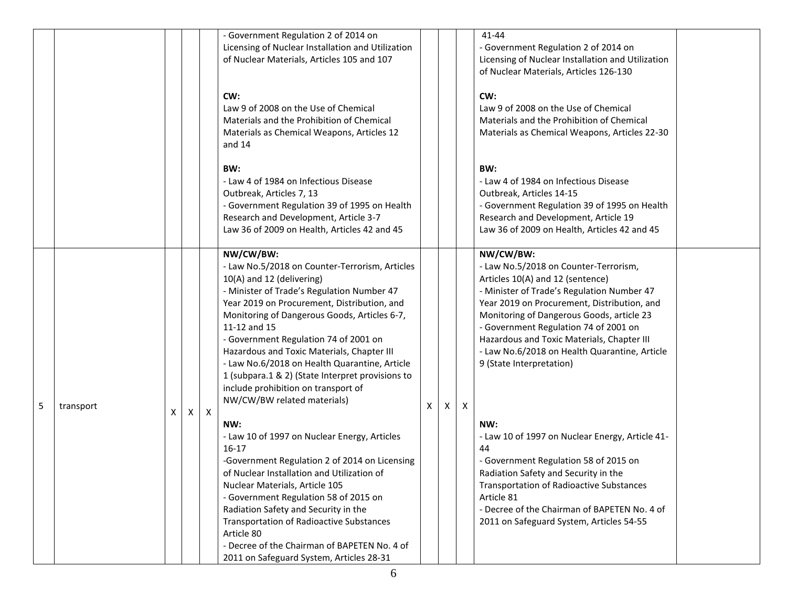|   |           |    |   |              | - Government Regulation 2 of 2014 on              |   |   |   | 41-44                                             |  |
|---|-----------|----|---|--------------|---------------------------------------------------|---|---|---|---------------------------------------------------|--|
|   |           |    |   |              | Licensing of Nuclear Installation and Utilization |   |   |   | - Government Regulation 2 of 2014 on              |  |
|   |           |    |   |              |                                                   |   |   |   |                                                   |  |
|   |           |    |   |              | of Nuclear Materials, Articles 105 and 107        |   |   |   | Licensing of Nuclear Installation and Utilization |  |
|   |           |    |   |              |                                                   |   |   |   | of Nuclear Materials, Articles 126-130            |  |
|   |           |    |   |              | CW:                                               |   |   |   | CW:                                               |  |
|   |           |    |   |              |                                                   |   |   |   |                                                   |  |
|   |           |    |   |              | Law 9 of 2008 on the Use of Chemical              |   |   |   | Law 9 of 2008 on the Use of Chemical              |  |
|   |           |    |   |              | Materials and the Prohibition of Chemical         |   |   |   | Materials and the Prohibition of Chemical         |  |
|   |           |    |   |              | Materials as Chemical Weapons, Articles 12        |   |   |   | Materials as Chemical Weapons, Articles 22-30     |  |
|   |           |    |   |              | and 14                                            |   |   |   |                                                   |  |
|   |           |    |   |              | BW:                                               |   |   |   | BW:                                               |  |
|   |           |    |   |              | - Law 4 of 1984 on Infectious Disease             |   |   |   | - Law 4 of 1984 on Infectious Disease             |  |
|   |           |    |   |              |                                                   |   |   |   |                                                   |  |
|   |           |    |   |              | Outbreak, Articles 7, 13                          |   |   |   | Outbreak, Articles 14-15                          |  |
|   |           |    |   |              | - Government Regulation 39 of 1995 on Health      |   |   |   | - Government Regulation 39 of 1995 on Health      |  |
|   |           |    |   |              | Research and Development, Article 3-7             |   |   |   | Research and Development, Article 19              |  |
|   |           |    |   |              | Law 36 of 2009 on Health, Articles 42 and 45      |   |   |   | Law 36 of 2009 on Health, Articles 42 and 45      |  |
|   |           |    |   |              | NW/CW/BW:                                         |   |   |   | NW/CW/BW:                                         |  |
|   |           |    |   |              | - Law No.5/2018 on Counter-Terrorism, Articles    |   |   |   | - Law No.5/2018 on Counter-Terrorism,             |  |
|   |           |    |   |              | 10(A) and 12 (delivering)                         |   |   |   | Articles 10(A) and 12 (sentence)                  |  |
|   |           |    |   |              | - Minister of Trade's Regulation Number 47        |   |   |   | - Minister of Trade's Regulation Number 47        |  |
|   |           |    |   |              | Year 2019 on Procurement, Distribution, and       |   |   |   | Year 2019 on Procurement, Distribution, and       |  |
|   |           |    |   |              |                                                   |   |   |   |                                                   |  |
|   |           |    |   |              | Monitoring of Dangerous Goods, Articles 6-7,      |   |   |   | Monitoring of Dangerous Goods, article 23         |  |
|   |           |    |   |              | 11-12 and 15                                      |   |   |   | - Government Regulation 74 of 2001 on             |  |
|   |           |    |   |              | - Government Regulation 74 of 2001 on             |   |   |   | Hazardous and Toxic Materials, Chapter III        |  |
|   |           |    |   |              | Hazardous and Toxic Materials, Chapter III        |   |   |   | - Law No.6/2018 on Health Quarantine, Article     |  |
|   |           |    |   |              | - Law No.6/2018 on Health Quarantine, Article     |   |   |   | 9 (State Interpretation)                          |  |
|   |           |    |   |              | 1 (subpara.1 & 2) (State Interpret provisions to  |   |   |   |                                                   |  |
|   |           |    |   |              | include prohibition on transport of               |   |   |   |                                                   |  |
| 5 | transport |    |   |              | NW/CW/BW related materials)                       | X | X | X |                                                   |  |
|   |           | x. | X | $\mathsf{X}$ |                                                   |   |   |   |                                                   |  |
|   |           |    |   |              | NW:                                               |   |   |   | NW:                                               |  |
|   |           |    |   |              | - Law 10 of 1997 on Nuclear Energy, Articles      |   |   |   | - Law 10 of 1997 on Nuclear Energy, Article 41-   |  |
|   |           |    |   |              | $16-17$                                           |   |   |   | 44                                                |  |
|   |           |    |   |              | -Government Regulation 2 of 2014 on Licensing     |   |   |   | - Government Regulation 58 of 2015 on             |  |
|   |           |    |   |              | of Nuclear Installation and Utilization of        |   |   |   | Radiation Safety and Security in the              |  |
|   |           |    |   |              | Nuclear Materials, Article 105                    |   |   |   | Transportation of Radioactive Substances          |  |
|   |           |    |   |              | - Government Regulation 58 of 2015 on             |   |   |   | Article 81                                        |  |
|   |           |    |   |              | Radiation Safety and Security in the              |   |   |   | - Decree of the Chairman of BAPETEN No. 4 of      |  |
|   |           |    |   |              | Transportation of Radioactive Substances          |   |   |   | 2011 on Safeguard System, Articles 54-55          |  |
|   |           |    |   |              | Article 80                                        |   |   |   |                                                   |  |
|   |           |    |   |              | - Decree of the Chairman of BAPETEN No. 4 of      |   |   |   |                                                   |  |
|   |           |    |   |              | 2011 on Safeguard System, Articles 28-31          |   |   |   |                                                   |  |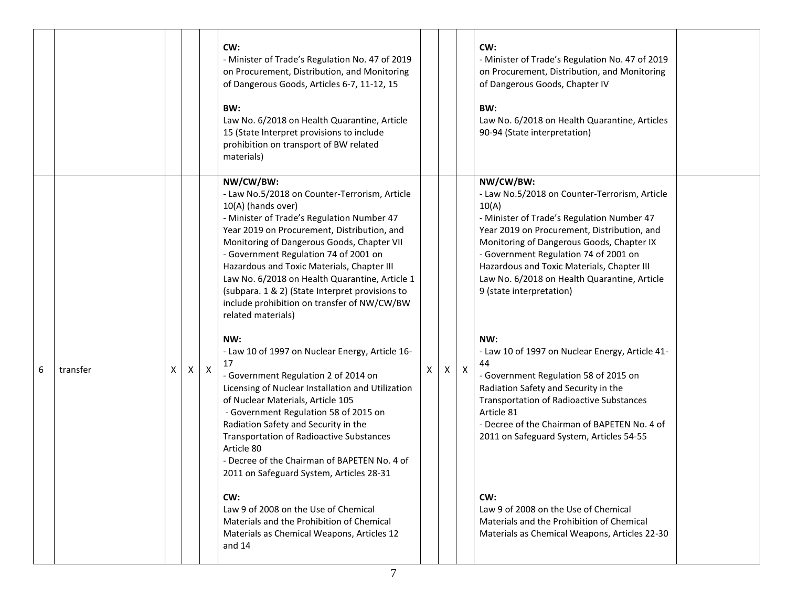|               |                                   | CW:<br>- Minister of Trade's Regulation No. 47 of 2019<br>on Procurement, Distribution, and Monitoring<br>of Dangerous Goods, Articles 6-7, 11-12, 15<br>BW:<br>Law No. 6/2018 on Health Quarantine, Article<br>15 (State Interpret provisions to include<br>prohibition on transport of BW related<br>materials)                                                                                                                                                                            |   |   |                  | CW:<br>- Minister of Trade's Regulation No. 47 of 2019<br>on Procurement, Distribution, and Monitoring<br>of Dangerous Goods, Chapter IV<br>BW:<br>Law No. 6/2018 on Health Quarantine, Articles<br>90-94 (State interpretation)                                                                                                                                                 |  |
|---------------|-----------------------------------|----------------------------------------------------------------------------------------------------------------------------------------------------------------------------------------------------------------------------------------------------------------------------------------------------------------------------------------------------------------------------------------------------------------------------------------------------------------------------------------------|---|---|------------------|----------------------------------------------------------------------------------------------------------------------------------------------------------------------------------------------------------------------------------------------------------------------------------------------------------------------------------------------------------------------------------|--|
|               |                                   | NW/CW/BW:<br>- Law No.5/2018 on Counter-Terrorism, Article<br>10(A) (hands over)<br>- Minister of Trade's Regulation Number 47<br>Year 2019 on Procurement, Distribution, and<br>Monitoring of Dangerous Goods, Chapter VII<br>- Government Regulation 74 of 2001 on<br>Hazardous and Toxic Materials, Chapter III<br>Law No. 6/2018 on Health Quarantine, Article 1<br>(subpara. 1 & 2) (State Interpret provisions to<br>include prohibition on transfer of NW/CW/BW<br>related materials) |   |   |                  | NW/CW/BW:<br>- Law No.5/2018 on Counter-Terrorism, Article<br>10(A)<br>- Minister of Trade's Regulation Number 47<br>Year 2019 on Procurement, Distribution, and<br>Monitoring of Dangerous Goods, Chapter IX<br>- Government Regulation 74 of 2001 on<br>Hazardous and Toxic Materials, Chapter III<br>Law No. 6/2018 on Health Quarantine, Article<br>9 (state interpretation) |  |
| 6<br>transfer | $\mathsf{X}$<br>$\mathsf{X}$<br>X | NW:<br>- Law 10 of 1997 on Nuclear Energy, Article 16-<br>17<br>- Government Regulation 2 of 2014 on<br>Licensing of Nuclear Installation and Utilization<br>of Nuclear Materials, Article 105<br>- Government Regulation 58 of 2015 on<br>Radiation Safety and Security in the<br>Transportation of Radioactive Substances<br>Article 80<br>- Decree of the Chairman of BAPETEN No. 4 of<br>2011 on Safeguard System, Articles 28-31<br>CW:                                                 | Χ | X | $\boldsymbol{X}$ | NW:<br>- Law 10 of 1997 on Nuclear Energy, Article 41-<br>44<br>- Government Regulation 58 of 2015 on<br>Radiation Safety and Security in the<br><b>Transportation of Radioactive Substances</b><br>Article 81<br>- Decree of the Chairman of BAPETEN No. 4 of<br>2011 on Safeguard System, Articles 54-55<br>CW:<br>Law 9 of 2008 on the Use of Chemical                        |  |
|               |                                   | Law 9 of 2008 on the Use of Chemical<br>Materials and the Prohibition of Chemical<br>Materials as Chemical Weapons, Articles 12<br>and $14$                                                                                                                                                                                                                                                                                                                                                  |   |   |                  | Materials and the Prohibition of Chemical<br>Materials as Chemical Weapons, Articles 22-30                                                                                                                                                                                                                                                                                       |  |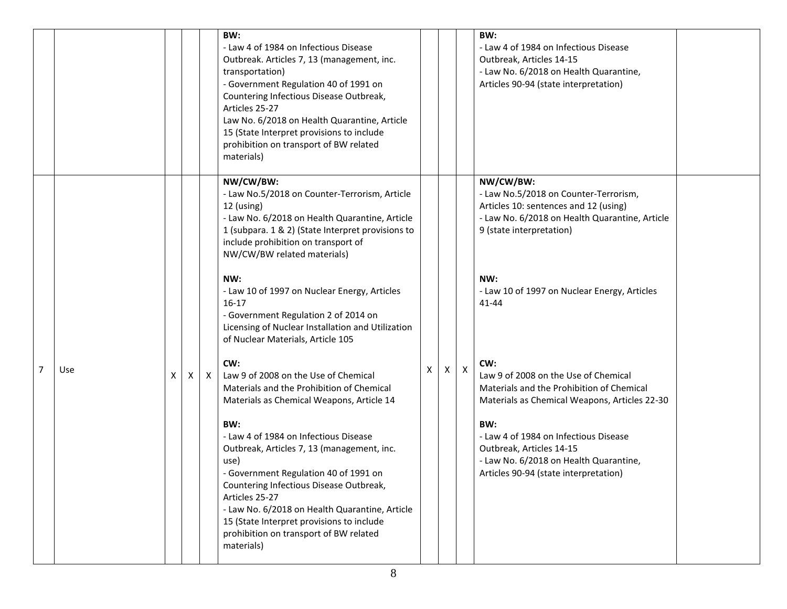|   |     |   |   |              | BW:<br>- Law 4 of 1984 on Infectious Disease<br>Outbreak. Articles 7, 13 (management, inc.<br>transportation)<br>- Government Regulation 40 of 1991 on<br>Countering Infectious Disease Outbreak,<br>Articles 25-27<br>Law No. 6/2018 on Health Quarantine, Article<br>15 (State Interpret provisions to include<br>prohibition on transport of BW related<br>materials) |   |                           | BW:<br>- Law 4 of 1984 on Infectious Disease<br>Outbreak, Articles 14-15<br>- Law No. 6/2018 on Health Quarantine,<br>Articles 90-94 (state interpretation)                                                                      |  |
|---|-----|---|---|--------------|--------------------------------------------------------------------------------------------------------------------------------------------------------------------------------------------------------------------------------------------------------------------------------------------------------------------------------------------------------------------------|---|---------------------------|----------------------------------------------------------------------------------------------------------------------------------------------------------------------------------------------------------------------------------|--|
|   |     |   |   |              | NW/CW/BW:<br>- Law No.5/2018 on Counter-Terrorism, Article<br>12 (using)<br>- Law No. 6/2018 on Health Quarantine, Article<br>1 (subpara. 1 & 2) (State Interpret provisions to<br>include prohibition on transport of<br>NW/CW/BW related materials)<br>NW:<br>- Law 10 of 1997 on Nuclear Energy, Articles                                                             |   |                           | NW/CW/BW:<br>- Law No.5/2018 on Counter-Terrorism,<br>Articles 10: sentences and 12 (using)<br>- Law No. 6/2018 on Health Quarantine, Article<br>9 (state interpretation)<br>NW:<br>- Law 10 of 1997 on Nuclear Energy, Articles |  |
| 7 | Use | X | X | $\mathsf{X}$ | $16-17$<br>- Government Regulation 2 of 2014 on<br>Licensing of Nuclear Installation and Utilization<br>of Nuclear Materials, Article 105<br>CW:<br>Law 9 of 2008 on the Use of Chemical<br>Materials and the Prohibition of Chemical<br>Materials as Chemical Weapons, Article 14                                                                                       | x | $\boldsymbol{\mathsf{X}}$ | 41-44<br>CW:<br>Law 9 of 2008 on the Use of Chemical<br>Materials and the Prohibition of Chemical<br>Materials as Chemical Weapons, Articles 22-30                                                                               |  |
|   |     |   |   |              | BW:<br>- Law 4 of 1984 on Infectious Disease<br>Outbreak, Articles 7, 13 (management, inc.<br>use)<br>- Government Regulation 40 of 1991 on<br>Countering Infectious Disease Outbreak,<br>Articles 25-27<br>- Law No. 6/2018 on Health Quarantine, Article<br>15 (State Interpret provisions to include<br>prohibition on transport of BW related<br>materials)          |   |                           | BW:<br>- Law 4 of 1984 on Infectious Disease<br>Outbreak, Articles 14-15<br>- Law No. 6/2018 on Health Quarantine,<br>Articles 90-94 (state interpretation)                                                                      |  |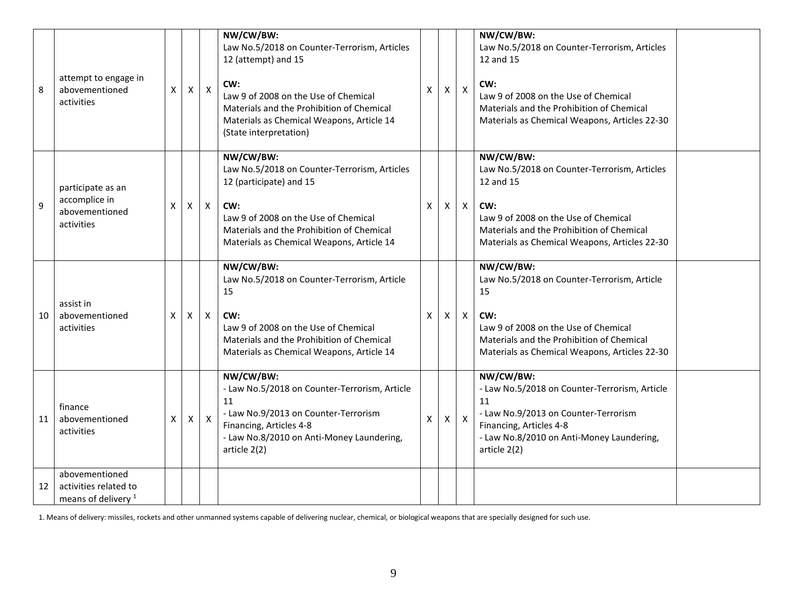| 8  | attempt to engage in<br>abovementioned<br>activities                      | X | $\mathsf{X}$ | $\boldsymbol{X}$ | NW/CW/BW:<br>Law No.5/2018 on Counter-Terrorism, Articles<br>12 (attempt) and 15<br>CW:<br>Law 9 of 2008 on the Use of Chemical<br>Materials and the Prohibition of Chemical<br>Materials as Chemical Weapons, Article 14<br>(State interpretation) | X | $\mathsf{X}$ | $\pmb{\times}$            | NW/CW/BW:<br>Law No.5/2018 on Counter-Terrorism, Articles<br>12 and 15<br>CW:<br>Law 9 of 2008 on the Use of Chemical<br>Materials and the Prohibition of Chemical<br>Materials as Chemical Weapons, Articles 22-30 |  |
|----|---------------------------------------------------------------------------|---|--------------|------------------|-----------------------------------------------------------------------------------------------------------------------------------------------------------------------------------------------------------------------------------------------------|---|--------------|---------------------------|---------------------------------------------------------------------------------------------------------------------------------------------------------------------------------------------------------------------|--|
| 9  | participate as an<br>accomplice in<br>abovementioned<br>activities        | X | X            | $\mathsf{X}$     | NW/CW/BW:<br>Law No.5/2018 on Counter-Terrorism, Articles<br>12 (participate) and 15<br>CW:<br>Law 9 of 2008 on the Use of Chemical<br>Materials and the Prohibition of Chemical<br>Materials as Chemical Weapons, Article 14                       | X | X            | $\boldsymbol{\mathsf{X}}$ | NW/CW/BW:<br>Law No.5/2018 on Counter-Terrorism, Articles<br>12 and 15<br>CW:<br>Law 9 of 2008 on the Use of Chemical<br>Materials and the Prohibition of Chemical<br>Materials as Chemical Weapons, Articles 22-30 |  |
| 10 | assist in<br>abovementioned<br>activities                                 | X | X            | $\mathsf{X}$     | NW/CW/BW:<br>Law No.5/2018 on Counter-Terrorism, Article<br>15<br>CW:<br>Law 9 of 2008 on the Use of Chemical<br>Materials and the Prohibition of Chemical<br>Materials as Chemical Weapons, Article 14                                             | X | $\mathsf{X}$ | $\mathsf{X}$              | NW/CW/BW:<br>Law No.5/2018 on Counter-Terrorism, Article<br>15<br>CW:<br>Law 9 of 2008 on the Use of Chemical<br>Materials and the Prohibition of Chemical<br>Materials as Chemical Weapons, Articles 22-30         |  |
| 11 | finance<br>abovementioned<br>activities                                   | X | X            | $\mathsf{X}$     | NW/CW/BW:<br>- Law No.5/2018 on Counter-Terrorism, Article<br>11<br>- Law No.9/2013 on Counter-Terrorism<br>Financing, Articles 4-8<br>- Law No.8/2010 on Anti-Money Laundering,<br>article 2(2)                                                    | X | X            | $\mathsf{X}$              | NW/CW/BW:<br>- Law No.5/2018 on Counter-Terrorism, Article<br>11<br>- Law No.9/2013 on Counter-Terrorism<br>Financing, Articles 4-8<br>- Law No.8/2010 on Anti-Money Laundering,<br>article 2(2)                    |  |
| 12 | abovementioned<br>activities related to<br>means of delivery <sup>1</sup> |   |              |                  |                                                                                                                                                                                                                                                     |   |              |                           |                                                                                                                                                                                                                     |  |

1. Means of delivery: missiles, rockets and other unmanned systems capable of delivering nuclear, chemical, or biological weapons that are specially designed for such use.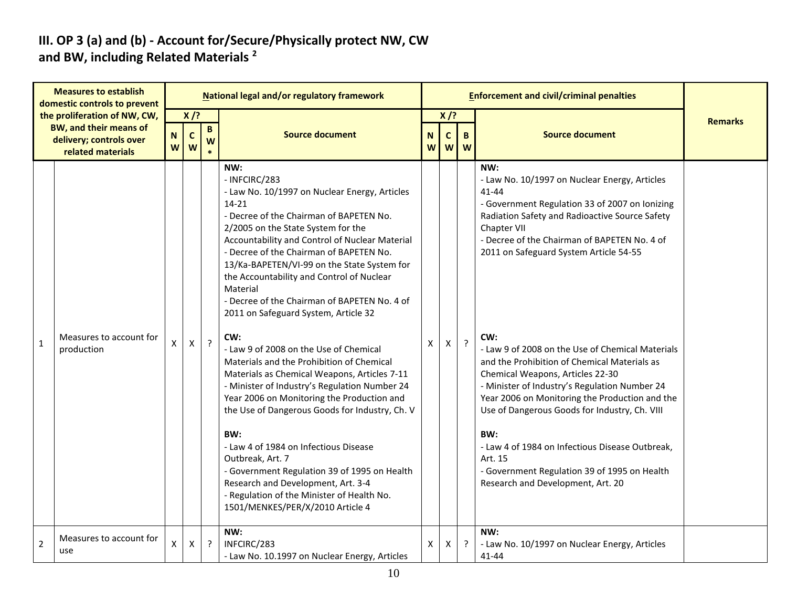#### **III. OP 3 (a) and (b) - Account for/Secure/Physically protect NW, CW and BW, including Related Materials <sup>2</sup>**

|              | <b>Measures to establish</b><br>domestic controls to prevent                                                  |                  |                            |                      | National legal and/or regulatory framework                                                                                                                                                                                                                                                                                                                                                                                                                                                                                                                                                                                                                                                                                                                                                                                                                                                                                                                                                              |   |                                                          |   | <b>Enforcement and civil/criminal penalties</b>                                                                                                                                                                                                                                                                                                                                                                                                                                                                                                                                                                                                                                                                                         |                |
|--------------|---------------------------------------------------------------------------------------------------------------|------------------|----------------------------|----------------------|---------------------------------------------------------------------------------------------------------------------------------------------------------------------------------------------------------------------------------------------------------------------------------------------------------------------------------------------------------------------------------------------------------------------------------------------------------------------------------------------------------------------------------------------------------------------------------------------------------------------------------------------------------------------------------------------------------------------------------------------------------------------------------------------------------------------------------------------------------------------------------------------------------------------------------------------------------------------------------------------------------|---|----------------------------------------------------------|---|-----------------------------------------------------------------------------------------------------------------------------------------------------------------------------------------------------------------------------------------------------------------------------------------------------------------------------------------------------------------------------------------------------------------------------------------------------------------------------------------------------------------------------------------------------------------------------------------------------------------------------------------------------------------------------------------------------------------------------------------|----------------|
|              | the proliferation of NW, CW,<br><b>BW, and their means of</b><br>delivery; controls over<br>related materials | $\mathbf N$<br>W | $X$ /?<br>$\mathbf c$<br>W | $\, {\bf B} \,$<br>W | <b>Source document</b>                                                                                                                                                                                                                                                                                                                                                                                                                                                                                                                                                                                                                                                                                                                                                                                                                                                                                                                                                                                  |   | $X$ /?<br>$\mathbf N$<br>$\mathbf B$<br>C<br>W<br>W<br>W |   | <b>Source document</b>                                                                                                                                                                                                                                                                                                                                                                                                                                                                                                                                                                                                                                                                                                                  | <b>Remarks</b> |
| $\mathbf{1}$ | Measures to account for<br>production                                                                         | X                | X                          | $\cdot$              | NW:<br>- INFCIRC/283<br>- Law No. 10/1997 on Nuclear Energy, Articles<br>14-21<br>- Decree of the Chairman of BAPETEN No.<br>2/2005 on the State System for the<br>Accountability and Control of Nuclear Material<br>- Decree of the Chairman of BAPETEN No.<br>13/Ka-BAPETEN/VI-99 on the State System for<br>the Accountability and Control of Nuclear<br>Material<br>- Decree of the Chairman of BAPETEN No. 4 of<br>2011 on Safeguard System, Article 32<br>CW:<br>- Law 9 of 2008 on the Use of Chemical<br>Materials and the Prohibition of Chemical<br>Materials as Chemical Weapons, Articles 7-11<br>- Minister of Industry's Regulation Number 24<br>Year 2006 on Monitoring the Production and<br>the Use of Dangerous Goods for Industry, Ch. V<br>BW:<br>- Law 4 of 1984 on Infectious Disease<br>Outbreak, Art. 7<br>- Government Regulation 39 of 1995 on Health<br>Research and Development, Art. 3-4<br>- Regulation of the Minister of Health No.<br>1501/MENKES/PER/X/2010 Article 4 | X | Х                                                        | ? | NW:<br>- Law No. 10/1997 on Nuclear Energy, Articles<br>41-44<br>- Government Regulation 33 of 2007 on Ionizing<br>Radiation Safety and Radioactive Source Safety<br>Chapter VII<br>- Decree of the Chairman of BAPETEN No. 4 of<br>2011 on Safeguard System Article 54-55<br>CW:<br>- Law 9 of 2008 on the Use of Chemical Materials<br>and the Prohibition of Chemical Materials as<br>Chemical Weapons, Articles 22-30<br>- Minister of Industry's Regulation Number 24<br>Year 2006 on Monitoring the Production and the<br>Use of Dangerous Goods for Industry, Ch. VIII<br>BW:<br>- Law 4 of 1984 on Infectious Disease Outbreak,<br>Art. 15<br>- Government Regulation 39 of 1995 on Health<br>Research and Development, Art. 20 |                |
| 2            | Measures to account for<br>use                                                                                | X                | X                          | $\cdot$              | NW:<br>INFCIRC/283<br>- Law No. 10.1997 on Nuclear Energy, Articles                                                                                                                                                                                                                                                                                                                                                                                                                                                                                                                                                                                                                                                                                                                                                                                                                                                                                                                                     | Χ | X                                                        | ? | NW:<br>- Law No. 10/1997 on Nuclear Energy, Articles<br>41-44                                                                                                                                                                                                                                                                                                                                                                                                                                                                                                                                                                                                                                                                           |                |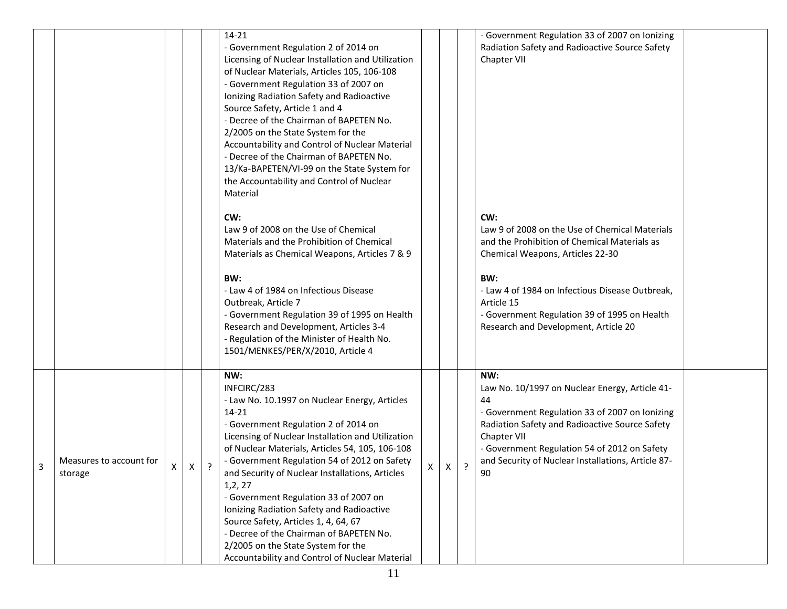|   |                                    |   |   |         | 14-21<br>- Government Regulation 2 of 2014 on<br>Licensing of Nuclear Installation and Utilization<br>of Nuclear Materials, Articles 105, 106-108<br>- Government Regulation 33 of 2007 on<br>Ionizing Radiation Safety and Radioactive<br>Source Safety, Article 1 and 4<br>- Decree of the Chairman of BAPETEN No.<br>2/2005 on the State System for the<br>Accountability and Control of Nuclear Material<br>- Decree of the Chairman of BAPETEN No.<br>13/Ka-BAPETEN/VI-99 on the State System for                                                                                                       |   |   |   | - Government Regulation 33 of 2007 on Ionizing<br>Radiation Safety and Radioactive Source Safety<br>Chapter VII                                                                                                                                                                                           |  |
|---|------------------------------------|---|---|---------|--------------------------------------------------------------------------------------------------------------------------------------------------------------------------------------------------------------------------------------------------------------------------------------------------------------------------------------------------------------------------------------------------------------------------------------------------------------------------------------------------------------------------------------------------------------------------------------------------------------|---|---|---|-----------------------------------------------------------------------------------------------------------------------------------------------------------------------------------------------------------------------------------------------------------------------------------------------------------|--|
|   |                                    |   |   |         | the Accountability and Control of Nuclear<br>Material<br>CW:<br>Law 9 of 2008 on the Use of Chemical<br>Materials and the Prohibition of Chemical<br>Materials as Chemical Weapons, Articles 7 & 9<br>BW:<br>- Law 4 of 1984 on Infectious Disease<br>Outbreak, Article 7<br>- Government Regulation 39 of 1995 on Health<br>Research and Development, Articles 3-4<br>- Regulation of the Minister of Health No.<br>1501/MENKES/PER/X/2010, Article 4                                                                                                                                                       |   |   |   | CW:<br>Law 9 of 2008 on the Use of Chemical Materials<br>and the Prohibition of Chemical Materials as<br>Chemical Weapons, Articles 22-30<br>BW:<br>- Law 4 of 1984 on Infectious Disease Outbreak,<br>Article 15<br>- Government Regulation 39 of 1995 on Health<br>Research and Development, Article 20 |  |
| 3 | Measures to account for<br>storage | X | X | $\cdot$ | NW:<br>INFCIRC/283<br>- Law No. 10.1997 on Nuclear Energy, Articles<br>14-21<br>- Government Regulation 2 of 2014 on<br>Licensing of Nuclear Installation and Utilization<br>of Nuclear Materials, Articles 54, 105, 106-108<br>- Government Regulation 54 of 2012 on Safety<br>and Security of Nuclear Installations, Articles<br>1, 2, 27<br>- Government Regulation 33 of 2007 on<br>Ionizing Radiation Safety and Radioactive<br>Source Safety, Articles 1, 4, 64, 67<br>- Decree of the Chairman of BAPETEN No.<br>2/2005 on the State System for the<br>Accountability and Control of Nuclear Material | X | X | ? | NW:<br>Law No. 10/1997 on Nuclear Energy, Article 41-<br>44<br>- Government Regulation 33 of 2007 on Ionizing<br>Radiation Safety and Radioactive Source Safety<br>Chapter VII<br>- Government Regulation 54 of 2012 on Safety<br>and Security of Nuclear Installations, Article 87-<br>90                |  |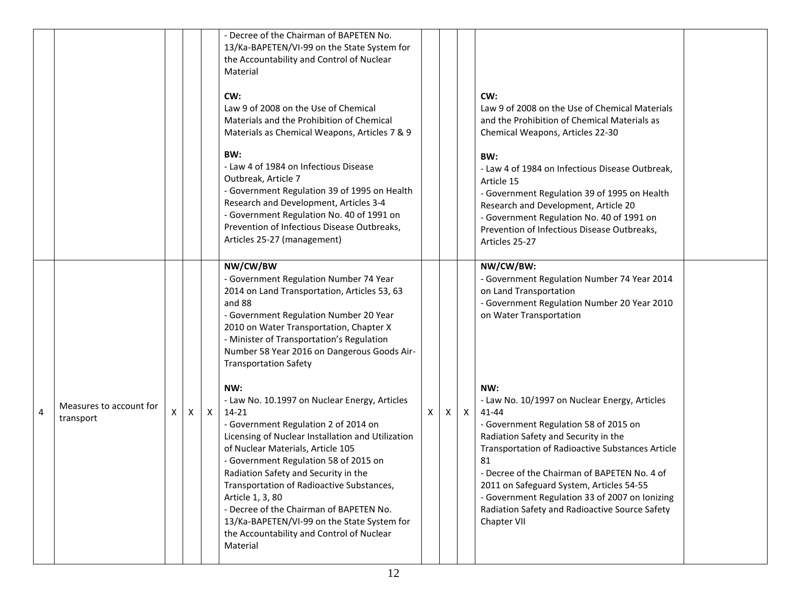|   |                                      |   |              |              | - Decree of the Chairman of BAPETEN No.<br>13/Ka-BAPETEN/VI-99 on the State System for<br>the Accountability and Control of Nuclear<br>Material<br>CW:<br>Law 9 of 2008 on the Use of Chemical<br>Materials and the Prohibition of Chemical<br>Materials as Chemical Weapons, Articles 7 & 9<br>BW:<br>- Law 4 of 1984 on Infectious Disease<br>Outbreak, Article 7<br>- Government Regulation 39 of 1995 on Health<br>Research and Development, Articles 3-4<br>- Government Regulation No. 40 of 1991 on<br>Prevention of Infectious Disease Outbreaks,<br>Articles 25-27 (management) |   |   |              | CW:<br>Law 9 of 2008 on the Use of Chemical Materials<br>and the Prohibition of Chemical Materials as<br>Chemical Weapons, Articles 22-30<br>BW:<br>- Law 4 of 1984 on Infectious Disease Outbreak,<br>Article 15<br>- Government Regulation 39 of 1995 on Health<br>Research and Development, Article 20<br>- Government Regulation No. 40 of 1991 on<br>Prevention of Infectious Disease Outbreaks,<br>Articles 25-27 |  |
|---|--------------------------------------|---|--------------|--------------|------------------------------------------------------------------------------------------------------------------------------------------------------------------------------------------------------------------------------------------------------------------------------------------------------------------------------------------------------------------------------------------------------------------------------------------------------------------------------------------------------------------------------------------------------------------------------------------|---|---|--------------|-------------------------------------------------------------------------------------------------------------------------------------------------------------------------------------------------------------------------------------------------------------------------------------------------------------------------------------------------------------------------------------------------------------------------|--|
|   |                                      |   |              |              | NW/CW/BW<br>- Government Regulation Number 74 Year<br>2014 on Land Transportation, Articles 53, 63<br>and 88<br>- Government Regulation Number 20 Year<br>2010 on Water Transportation, Chapter X<br>- Minister of Transportation's Regulation<br>Number 58 Year 2016 on Dangerous Goods Air-<br><b>Transportation Safety</b>                                                                                                                                                                                                                                                            |   |   |              | NW/CW/BW:<br>- Government Regulation Number 74 Year 2014<br>on Land Transportation<br>- Government Regulation Number 20 Year 2010<br>on Water Transportation                                                                                                                                                                                                                                                            |  |
| 4 | Measures to account for<br>transport | X | $\mathsf{X}$ | $\mathsf{X}$ | NW:<br>- Law No. 10.1997 on Nuclear Energy, Articles<br>14-21<br>- Government Regulation 2 of 2014 on<br>Licensing of Nuclear Installation and Utilization<br>of Nuclear Materials, Article 105<br>- Government Regulation 58 of 2015 on<br>Radiation Safety and Security in the<br>Transportation of Radioactive Substances,<br>Article 1, 3, 80<br>- Decree of the Chairman of BAPETEN No.<br>13/Ka-BAPETEN/VI-99 on the State System for<br>the Accountability and Control of Nuclear<br>Material                                                                                     | X | Χ | $\mathsf{X}$ | NW:<br>- Law No. 10/1997 on Nuclear Energy, Articles<br>41-44<br>- Government Regulation 58 of 2015 on<br>Radiation Safety and Security in the<br>Transportation of Radioactive Substances Article<br>81<br>- Decree of the Chairman of BAPETEN No. 4 of<br>2011 on Safeguard System, Articles 54-55<br>- Government Regulation 33 of 2007 on Ionizing<br>Radiation Safety and Radioactive Source Safety<br>Chapter VII |  |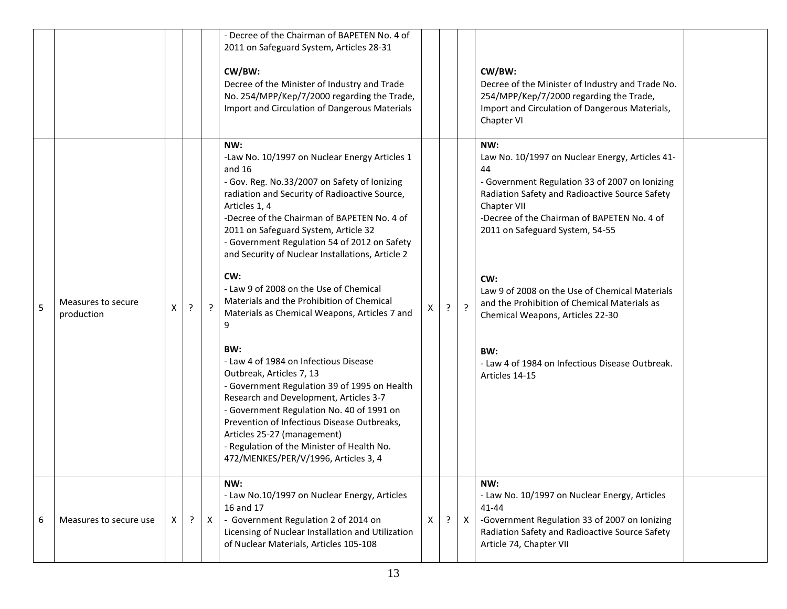|   |                                  |   |         |              | - Decree of the Chairman of BAPETEN No. 4 of<br>2011 on Safeguard System, Articles 28-31<br>CW/BW:<br>Decree of the Minister of Industry and Trade<br>No. 254/MPP/Kep/7/2000 regarding the Trade,<br>Import and Circulation of Dangerous Materials                                                                                                                                  |   |   |         | CW/BW:<br>Decree of the Minister of Industry and Trade No.<br>254/MPP/Kep/7/2000 regarding the Trade,<br>Import and Circulation of Dangerous Materials,                                                                                                                         |  |
|---|----------------------------------|---|---------|--------------|-------------------------------------------------------------------------------------------------------------------------------------------------------------------------------------------------------------------------------------------------------------------------------------------------------------------------------------------------------------------------------------|---|---|---------|---------------------------------------------------------------------------------------------------------------------------------------------------------------------------------------------------------------------------------------------------------------------------------|--|
|   |                                  |   |         |              | NW:<br>-Law No. 10/1997 on Nuclear Energy Articles 1<br>and $16$<br>- Gov. Reg. No.33/2007 on Safety of Ionizing<br>radiation and Security of Radioactive Source,<br>Articles 1, 4<br>-Decree of the Chairman of BAPETEN No. 4 of<br>2011 on Safeguard System, Article 32                                                                                                           |   |   |         | Chapter VI<br>NW:<br>Law No. 10/1997 on Nuclear Energy, Articles 41-<br>44<br>- Government Regulation 33 of 2007 on Ionizing<br>Radiation Safety and Radioactive Source Safety<br>Chapter VII<br>-Decree of the Chairman of BAPETEN No. 4 of<br>2011 on Safeguard System, 54-55 |  |
| 5 | Measures to secure<br>production | Χ | $\cdot$ | $\cdot$      | - Government Regulation 54 of 2012 on Safety<br>and Security of Nuclear Installations, Article 2<br>CW:<br>- Law 9 of 2008 on the Use of Chemical<br>Materials and the Prohibition of Chemical<br>Materials as Chemical Weapons, Articles 7 and<br>9                                                                                                                                | X | ? | $\cdot$ | CW:<br>Law 9 of 2008 on the Use of Chemical Materials<br>and the Prohibition of Chemical Materials as<br>Chemical Weapons, Articles 22-30                                                                                                                                       |  |
|   |                                  |   |         |              | BW:<br>- Law 4 of 1984 on Infectious Disease<br>Outbreak, Articles 7, 13<br>- Government Regulation 39 of 1995 on Health<br>Research and Development, Articles 3-7<br>- Government Regulation No. 40 of 1991 on<br>Prevention of Infectious Disease Outbreaks,<br>Articles 25-27 (management)<br>- Regulation of the Minister of Health No.<br>472/MENKES/PER/V/1996, Articles 3, 4 |   |   |         | BW:<br>- Law 4 of 1984 on Infectious Disease Outbreak.<br>Articles 14-15                                                                                                                                                                                                        |  |
| 6 | Measures to secure use           | X | $\cdot$ | $\mathsf{X}$ | NW:<br>- Law No.10/1997 on Nuclear Energy, Articles<br>16 and 17<br>- Government Regulation 2 of 2014 on<br>Licensing of Nuclear Installation and Utilization<br>of Nuclear Materials, Articles 105-108                                                                                                                                                                             | X | ? | X       | NW:<br>- Law No. 10/1997 on Nuclear Energy, Articles<br>41-44<br>-Government Regulation 33 of 2007 on Ionizing<br>Radiation Safety and Radioactive Source Safety<br>Article 74, Chapter VII                                                                                     |  |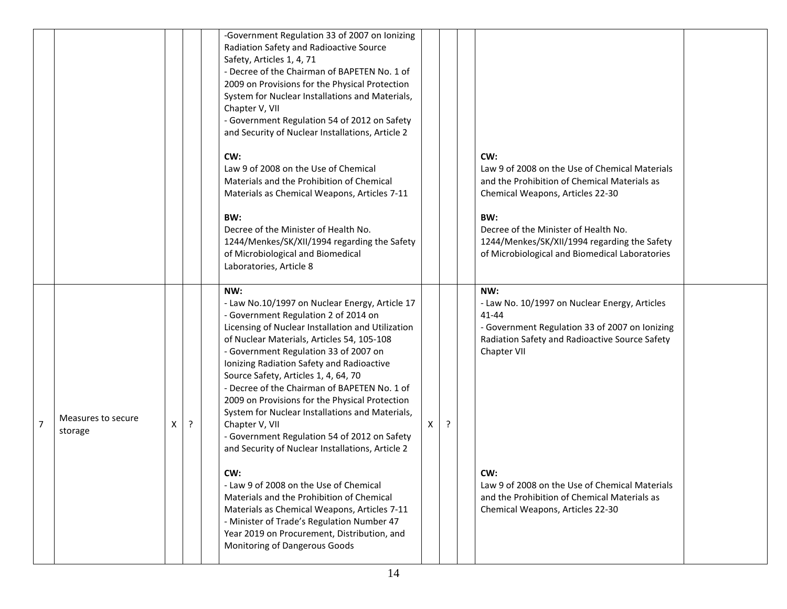|                |                               |   |         | -Government Regulation 33 of 2007 on Ionizing<br>Radiation Safety and Radioactive Source<br>Safety, Articles 1, 4, 71<br>- Decree of the Chairman of BAPETEN No. 1 of<br>2009 on Provisions for the Physical Protection<br>System for Nuclear Installations and Materials,<br>Chapter V, VII<br>- Government Regulation 54 of 2012 on Safety<br>and Security of Nuclear Installations, Article 2<br>CW:<br>Law 9 of 2008 on the Use of Chemical<br>Materials and the Prohibition of Chemical<br>Materials as Chemical Weapons, Articles 7-11<br>BW:<br>Decree of the Minister of Health No.<br>1244/Menkes/SK/XII/1994 regarding the Safety<br>of Microbiological and Biomedical<br>Laboratories, Article 8                                                                                                                                                                           |    |   | CW:<br>Law 9 of 2008 on the Use of Chemical Materials<br>and the Prohibition of Chemical Materials as<br>Chemical Weapons, Articles 22-30<br>BW:<br>Decree of the Minister of Health No.<br>1244/Menkes/SK/XII/1994 regarding the Safety<br>of Microbiological and Biomedical Laboratories                                    |
|----------------|-------------------------------|---|---------|---------------------------------------------------------------------------------------------------------------------------------------------------------------------------------------------------------------------------------------------------------------------------------------------------------------------------------------------------------------------------------------------------------------------------------------------------------------------------------------------------------------------------------------------------------------------------------------------------------------------------------------------------------------------------------------------------------------------------------------------------------------------------------------------------------------------------------------------------------------------------------------|----|---|-------------------------------------------------------------------------------------------------------------------------------------------------------------------------------------------------------------------------------------------------------------------------------------------------------------------------------|
| $\overline{7}$ | Measures to secure<br>storage | X | $\cdot$ | NW:<br>- Law No.10/1997 on Nuclear Energy, Article 17<br>- Government Regulation 2 of 2014 on<br>Licensing of Nuclear Installation and Utilization<br>of Nuclear Materials, Articles 54, 105-108<br>- Government Regulation 33 of 2007 on<br>Ionizing Radiation Safety and Radioactive<br>Source Safety, Articles 1, 4, 64, 70<br>- Decree of the Chairman of BAPETEN No. 1 of<br>2009 on Provisions for the Physical Protection<br>System for Nuclear Installations and Materials,<br>Chapter V, VII<br>- Government Regulation 54 of 2012 on Safety<br>and Security of Nuclear Installations, Article 2<br>CW:<br>- Law 9 of 2008 on the Use of Chemical<br>Materials and the Prohibition of Chemical<br>Materials as Chemical Weapons, Articles 7-11<br>- Minister of Trade's Regulation Number 47<br>Year 2019 on Procurement, Distribution, and<br>Monitoring of Dangerous Goods | X. | ? | NW:<br>- Law No. 10/1997 on Nuclear Energy, Articles<br>41-44<br>- Government Regulation 33 of 2007 on Ionizing<br>Radiation Safety and Radioactive Source Safety<br>Chapter VII<br>CW:<br>Law 9 of 2008 on the Use of Chemical Materials<br>and the Prohibition of Chemical Materials as<br>Chemical Weapons, Articles 22-30 |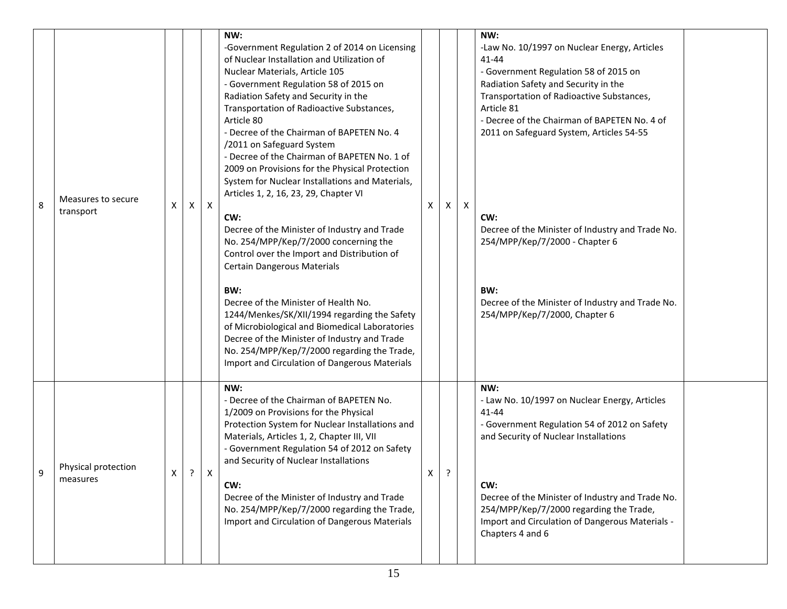| 8 | Measures to secure<br>transport | x | X          | $\mathsf{X}$     | NW:<br>-Government Regulation 2 of 2014 on Licensing<br>of Nuclear Installation and Utilization of<br>Nuclear Materials, Article 105<br>- Government Regulation 58 of 2015 on<br>Radiation Safety and Security in the<br>Transportation of Radioactive Substances,<br>Article 80<br>- Decree of the Chairman of BAPETEN No. 4<br>/2011 on Safeguard System<br>- Decree of the Chairman of BAPETEN No. 1 of<br>2009 on Provisions for the Physical Protection<br>System for Nuclear Installations and Materials,<br>Articles 1, 2, 16, 23, 29, Chapter VI<br>CW:<br>Decree of the Minister of Industry and Trade<br>No. 254/MPP/Kep/7/2000 concerning the<br>Control over the Import and Distribution of<br>Certain Dangerous Materials | X | X       | $\mathsf{X}$ | NW:<br>-Law No. 10/1997 on Nuclear Energy, Articles<br>$41 - 44$<br>- Government Regulation 58 of 2015 on<br>Radiation Safety and Security in the<br>Transportation of Radioactive Substances,<br>Article 81<br>- Decree of the Chairman of BAPETEN No. 4 of<br>2011 on Safeguard System, Articles 54-55<br>CW:<br>Decree of the Minister of Industry and Trade No.<br>254/MPP/Kep/7/2000 - Chapter 6 |  |
|---|---------------------------------|---|------------|------------------|----------------------------------------------------------------------------------------------------------------------------------------------------------------------------------------------------------------------------------------------------------------------------------------------------------------------------------------------------------------------------------------------------------------------------------------------------------------------------------------------------------------------------------------------------------------------------------------------------------------------------------------------------------------------------------------------------------------------------------------|---|---------|--------------|-------------------------------------------------------------------------------------------------------------------------------------------------------------------------------------------------------------------------------------------------------------------------------------------------------------------------------------------------------------------------------------------------------|--|
|   |                                 |   |            |                  | BW:<br>Decree of the Minister of Health No.<br>1244/Menkes/SK/XII/1994 regarding the Safety<br>of Microbiological and Biomedical Laboratories<br>Decree of the Minister of Industry and Trade<br>No. 254/MPP/Kep/7/2000 regarding the Trade,<br>Import and Circulation of Dangerous Materials                                                                                                                                                                                                                                                                                                                                                                                                                                          |   |         |              | BW:<br>Decree of the Minister of Industry and Trade No.<br>254/MPP/Kep/7/2000, Chapter 6                                                                                                                                                                                                                                                                                                              |  |
| Q | Physical protection<br>measures | Χ | $\ddot{?}$ | $\boldsymbol{X}$ | NW:<br>- Decree of the Chairman of BAPETEN No.<br>1/2009 on Provisions for the Physical<br>Protection System for Nuclear Installations and<br>Materials, Articles 1, 2, Chapter III, VII<br>- Government Regulation 54 of 2012 on Safety<br>and Security of Nuclear Installations<br>CW:<br>Decree of the Minister of Industry and Trade<br>No. 254/MPP/Kep/7/2000 regarding the Trade,<br>Import and Circulation of Dangerous Materials                                                                                                                                                                                                                                                                                               | X | $\cdot$ |              | NW:<br>- Law No. 10/1997 on Nuclear Energy, Articles<br>$41 - 44$<br>- Government Regulation 54 of 2012 on Safety<br>and Security of Nuclear Installations<br>CW:<br>Decree of the Minister of Industry and Trade No.<br>254/MPP/Kep/7/2000 regarding the Trade,<br>Import and Circulation of Dangerous Materials -<br>Chapters 4 and 6                                                               |  |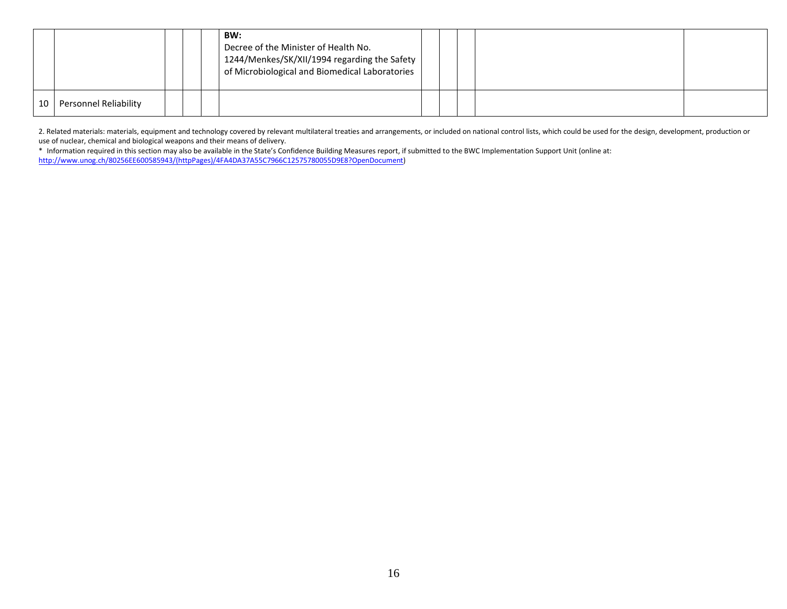|    |                       |  | BW:<br>Decree of the Minister of Health No.<br>1244/Menkes/SK/XII/1994 regarding the Safety<br>of Microbiological and Biomedical Laboratories |  |  |  |
|----|-----------------------|--|-----------------------------------------------------------------------------------------------------------------------------------------------|--|--|--|
| 10 | Personnel Reliability |  |                                                                                                                                               |  |  |  |

2. Related materials: materials, equipment and technology covered by relevant multilateral treaties and arrangements, or included on national control lists, which could be used for the design, development, production or use of nuclear, chemical and biological weapons and their means of delivery.

\* Information required in this section may also be available in the State's Confidence Building Measures report, if submitted to the BWC Implementation Support Unit (online at: [http://www.unog.ch/80256EE600585943/\(httpPages\)/4FA4DA37A55C7966C12575780055D9E8?OpenDocument\)](http://www.unog.ch/80256EE600585943/(httpPages)/4FA4DA37A55C7966C12575780055D9E8?OpenDocument)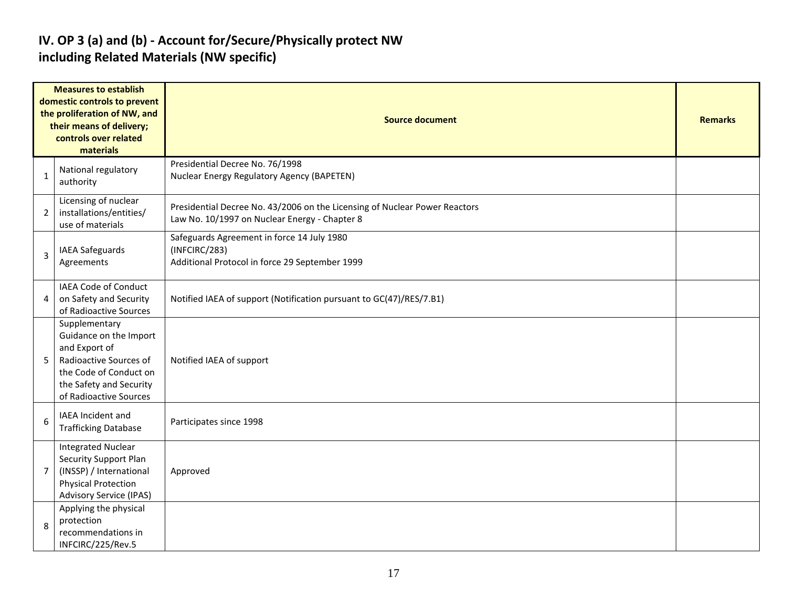#### **IV. OP 3 (a) and (b) - Account for/Secure/Physically protect NW including Related Materials (NW specific)**

|                | <b>Measures to establish</b><br>domestic controls to prevent<br>the proliferation of NW, and<br>their means of delivery;<br>controls over related<br>materials    | <b>Source document</b>                                                                                                      |  |  |  |  |  |  |  |
|----------------|-------------------------------------------------------------------------------------------------------------------------------------------------------------------|-----------------------------------------------------------------------------------------------------------------------------|--|--|--|--|--|--|--|
| 1              | National regulatory<br>authority                                                                                                                                  | Presidential Decree No. 76/1998<br>Nuclear Energy Regulatory Agency (BAPETEN)                                               |  |  |  |  |  |  |  |
| $\overline{2}$ | Licensing of nuclear<br>installations/entities/<br>use of materials                                                                                               | Presidential Decree No. 43/2006 on the Licensing of Nuclear Power Reactors<br>Law No. 10/1997 on Nuclear Energy - Chapter 8 |  |  |  |  |  |  |  |
| 3              | IAEA Safeguards<br>Agreements                                                                                                                                     | Safeguards Agreement in force 14 July 1980<br>(INFCIRC/283)<br>Additional Protocol in force 29 September 1999               |  |  |  |  |  |  |  |
| 4              | IAEA Code of Conduct<br>on Safety and Security<br>of Radioactive Sources                                                                                          | Notified IAEA of support (Notification pursuant to GC(47)/RES/7.B1)                                                         |  |  |  |  |  |  |  |
| 5              | Supplementary<br>Guidance on the Import<br>and Export of<br>Radioactive Sources of<br>the Code of Conduct on<br>the Safety and Security<br>of Radioactive Sources | Notified IAEA of support                                                                                                    |  |  |  |  |  |  |  |
| 6              | IAEA Incident and<br><b>Trafficking Database</b>                                                                                                                  | Participates since 1998                                                                                                     |  |  |  |  |  |  |  |
| $\overline{7}$ | <b>Integrated Nuclear</b><br>Security Support Plan<br>(INSSP) / International<br><b>Physical Protection</b><br><b>Advisory Service (IPAS)</b>                     | Approved                                                                                                                    |  |  |  |  |  |  |  |
| 8              | Applying the physical<br>protection<br>recommendations in<br>INFCIRC/225/Rev.5                                                                                    |                                                                                                                             |  |  |  |  |  |  |  |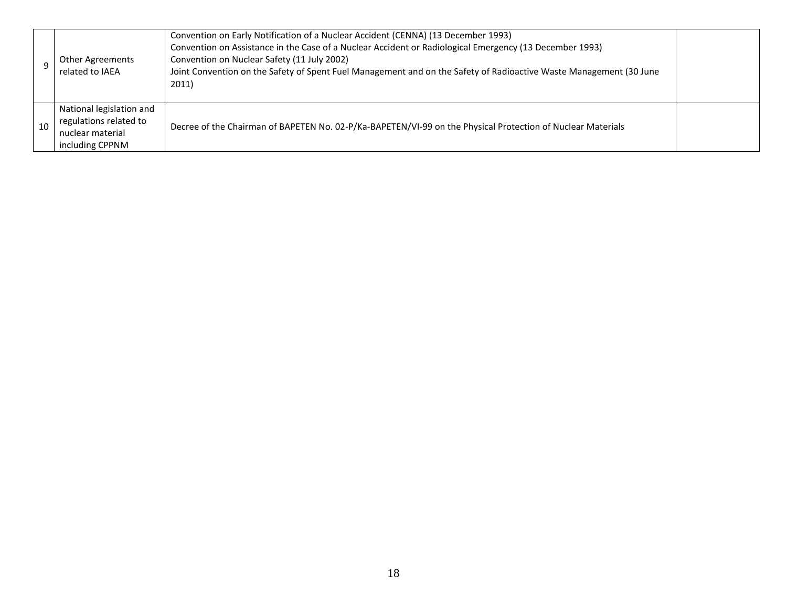|    | Other Agreements<br>related to IAEA                                                       | Convention on Early Notification of a Nuclear Accident (CENNA) (13 December 1993)<br>Convention on Assistance in the Case of a Nuclear Accident or Radiological Emergency (13 December 1993)<br>Convention on Nuclear Safety (11 July 2002)<br>Joint Convention on the Safety of Spent Fuel Management and on the Safety of Radioactive Waste Management (30 June<br>2011) |  |
|----|-------------------------------------------------------------------------------------------|----------------------------------------------------------------------------------------------------------------------------------------------------------------------------------------------------------------------------------------------------------------------------------------------------------------------------------------------------------------------------|--|
| 10 | National legislation and<br>regulations related to<br>nuclear material<br>including CPPNM | Decree of the Chairman of BAPETEN No. 02-P/Ka-BAPETEN/VI-99 on the Physical Protection of Nuclear Materials                                                                                                                                                                                                                                                                |  |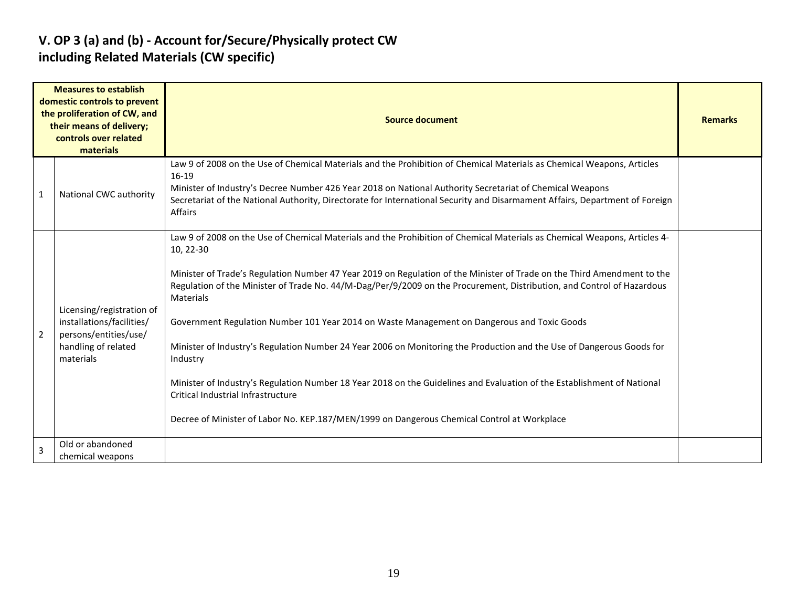#### **V. OP 3 (a) and (b) - Account for/Secure/Physically protect CW including Related Materials (CW specific)**

|                | <b>Measures to establish</b><br>domestic controls to prevent<br>the proliferation of CW, and<br>their means of delivery;<br>controls over related<br>materials | <b>Source document</b>                                                                                                                                                                                                                                                                                                                                                                                                                                                                                                                                                                                                                                                                                                                                                                                                                                                                                       |  |  |  |  |  |  |  |
|----------------|----------------------------------------------------------------------------------------------------------------------------------------------------------------|--------------------------------------------------------------------------------------------------------------------------------------------------------------------------------------------------------------------------------------------------------------------------------------------------------------------------------------------------------------------------------------------------------------------------------------------------------------------------------------------------------------------------------------------------------------------------------------------------------------------------------------------------------------------------------------------------------------------------------------------------------------------------------------------------------------------------------------------------------------------------------------------------------------|--|--|--|--|--|--|--|
| 1              | National CWC authority                                                                                                                                         | Law 9 of 2008 on the Use of Chemical Materials and the Prohibition of Chemical Materials as Chemical Weapons, Articles<br>16-19<br>Minister of Industry's Decree Number 426 Year 2018 on National Authority Secretariat of Chemical Weapons<br>Secretariat of the National Authority, Directorate for International Security and Disarmament Affairs, Department of Foreign<br>Affairs                                                                                                                                                                                                                                                                                                                                                                                                                                                                                                                       |  |  |  |  |  |  |  |
| $\overline{2}$ | Licensing/registration of<br>installations/facilities/<br>persons/entities/use/<br>handling of related<br>materials                                            | Law 9 of 2008 on the Use of Chemical Materials and the Prohibition of Chemical Materials as Chemical Weapons, Articles 4-<br>10, 22-30<br>Minister of Trade's Regulation Number 47 Year 2019 on Regulation of the Minister of Trade on the Third Amendment to the<br>Regulation of the Minister of Trade No. 44/M-Dag/Per/9/2009 on the Procurement, Distribution, and Control of Hazardous<br>Materials<br>Government Regulation Number 101 Year 2014 on Waste Management on Dangerous and Toxic Goods<br>Minister of Industry's Regulation Number 24 Year 2006 on Monitoring the Production and the Use of Dangerous Goods for<br>Industry<br>Minister of Industry's Regulation Number 18 Year 2018 on the Guidelines and Evaluation of the Establishment of National<br>Critical Industrial Infrastructure<br>Decree of Minister of Labor No. KEP.187/MEN/1999 on Dangerous Chemical Control at Workplace |  |  |  |  |  |  |  |
|                | Old or abandoned<br>chemical weapons                                                                                                                           |                                                                                                                                                                                                                                                                                                                                                                                                                                                                                                                                                                                                                                                                                                                                                                                                                                                                                                              |  |  |  |  |  |  |  |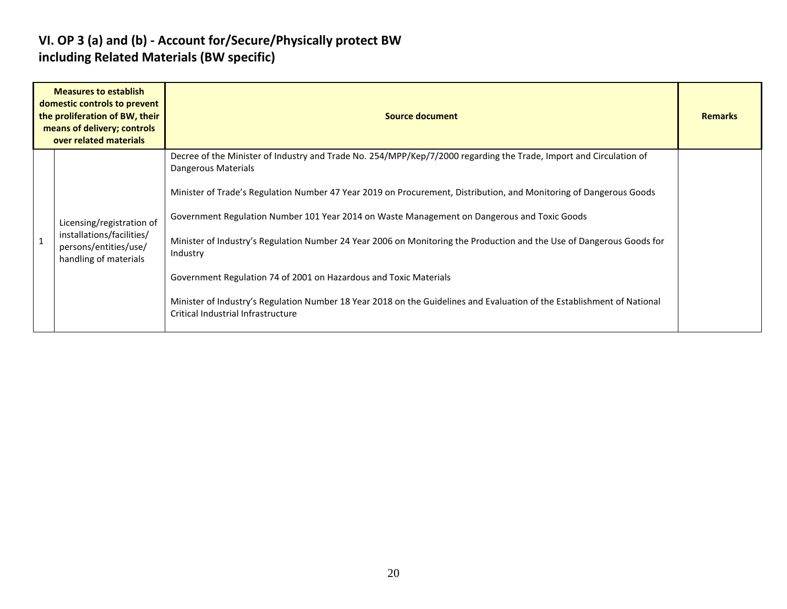#### **VI. OP 3 (a) and (b) - Account for/Secure/Physically protect BW including Related Materials (BW specific)**

| <b>Measures to establish</b><br>domestic controls to prevent<br>the proliferation of BW, their<br>means of delivery; controls<br>over related materials | <b>Source document</b>                                                                                                                                                                                                                                                                                | <b>Remarks</b> |
|---------------------------------------------------------------------------------------------------------------------------------------------------------|-------------------------------------------------------------------------------------------------------------------------------------------------------------------------------------------------------------------------------------------------------------------------------------------------------|----------------|
|                                                                                                                                                         | Decree of the Minister of Industry and Trade No. 254/MPP/Kep/7/2000 regarding the Trade, Import and Circulation of<br>Dangerous Materials<br>Minister of Trade's Regulation Number 47 Year 2019 on Procurement, Distribution, and Monitoring of Dangerous Goods                                       |                |
| Licensing/registration of<br>installations/facilities/<br>persons/entities/use/<br>handling of materials                                                | Government Regulation Number 101 Year 2014 on Waste Management on Dangerous and Toxic Goods<br>Minister of Industry's Regulation Number 24 Year 2006 on Monitoring the Production and the Use of Dangerous Goods for<br>Industry<br>Government Regulation 74 of 2001 on Hazardous and Toxic Materials |                |
|                                                                                                                                                         | Minister of Industry's Regulation Number 18 Year 2018 on the Guidelines and Evaluation of the Establishment of National<br>Critical Industrial Infrastructure                                                                                                                                         |                |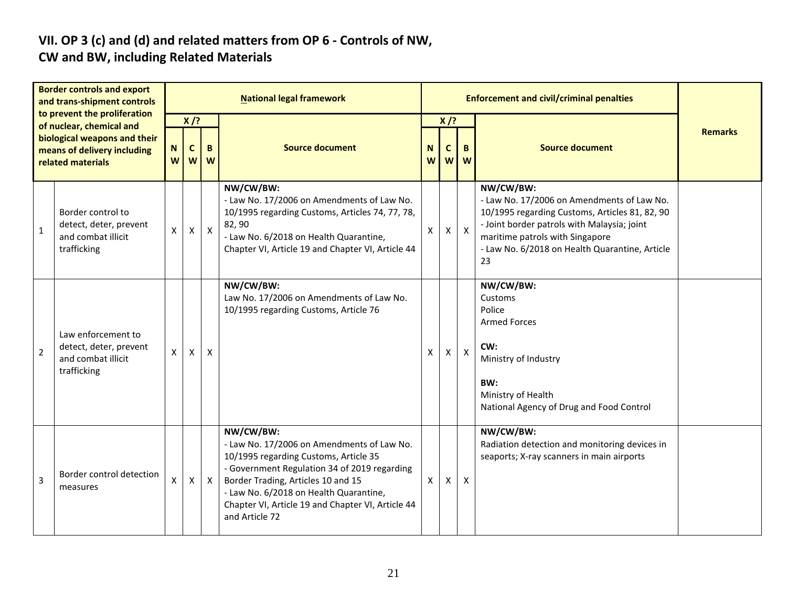# **VII. OP 3 (c) and (d) and related matters from OP 6 - Controls of NW,**

### **CW and BW, including Related Materials**

| <b>Border controls and export</b><br>and trans-shipment controls<br>to prevent the proliferation |                                                                                                              |                    |                            |              | <b>National legal framework</b>                                                                                                                                                                                                                                                                         |        |                                   |                           |                                                                                                                                                                                                                                                     |                |
|--------------------------------------------------------------------------------------------------|--------------------------------------------------------------------------------------------------------------|--------------------|----------------------------|--------------|---------------------------------------------------------------------------------------------------------------------------------------------------------------------------------------------------------------------------------------------------------------------------------------------------------|--------|-----------------------------------|---------------------------|-----------------------------------------------------------------------------------------------------------------------------------------------------------------------------------------------------------------------------------------------------|----------------|
|                                                                                                  | of nuclear, chemical and<br>biological weapons and their<br>means of delivery including<br>related materials | ${\bf N}$<br>W     | $X$ /?<br>$\mathbf c$<br>W | B<br>W       | <b>Source document</b>                                                                                                                                                                                                                                                                                  | N<br>W | $X$ /?<br>$\mathbf c$<br><b>W</b> | $\mathbf B$<br>W          | <b>Source document</b>                                                                                                                                                                                                                              | <b>Remarks</b> |
| 1                                                                                                | Border control to<br>detect, deter, prevent<br>and combat illicit<br>trafficking                             | $\pmb{\mathsf{X}}$ | $\pmb{\mathsf{X}}$         | $\mathsf{X}$ | NW/CW/BW:<br>- Law No. 17/2006 on Amendments of Law No.<br>10/1995 regarding Customs, Articles 74, 77, 78,<br>82,90<br>- Law No. 6/2018 on Health Quarantine,<br>Chapter VI, Article 19 and Chapter VI, Article 44                                                                                      | X      | Χ                                 | $\boldsymbol{\mathsf{X}}$ | NW/CW/BW:<br>- Law No. 17/2006 on Amendments of Law No.<br>10/1995 regarding Customs, Articles 81, 82, 90<br>- Joint border patrols with Malaysia; joint<br>maritime patrols with Singapore<br>- Law No. 6/2018 on Health Quarantine, Article<br>23 |                |
| $\overline{2}$                                                                                   | Law enforcement to<br>detect, deter, prevent<br>and combat illicit<br>trafficking                            | X                  | X                          | X            | NW/CW/BW:<br>Law No. 17/2006 on Amendments of Law No.<br>10/1995 regarding Customs, Article 76                                                                                                                                                                                                          | x      | Χ                                 | $\boldsymbol{\mathsf{X}}$ | NW/CW/BW:<br>Customs<br>Police<br><b>Armed Forces</b><br>CW:<br>Ministry of Industry<br>BW:<br>Ministry of Health<br>National Agency of Drug and Food Control                                                                                       |                |
| 3                                                                                                | Border control detection<br>measures                                                                         | X                  | X                          | $\mathsf{x}$ | NW/CW/BW:<br>- Law No. 17/2006 on Amendments of Law No.<br>10/1995 regarding Customs, Article 35<br>- Government Regulation 34 of 2019 regarding<br>Border Trading, Articles 10 and 15<br>- Law No. 6/2018 on Health Quarantine,<br>Chapter VI, Article 19 and Chapter VI, Article 44<br>and Article 72 | X      | X                                 | $\mathsf{X}$              | NW/CW/BW:<br>Radiation detection and monitoring devices in<br>seaports; X-ray scanners in main airports                                                                                                                                             |                |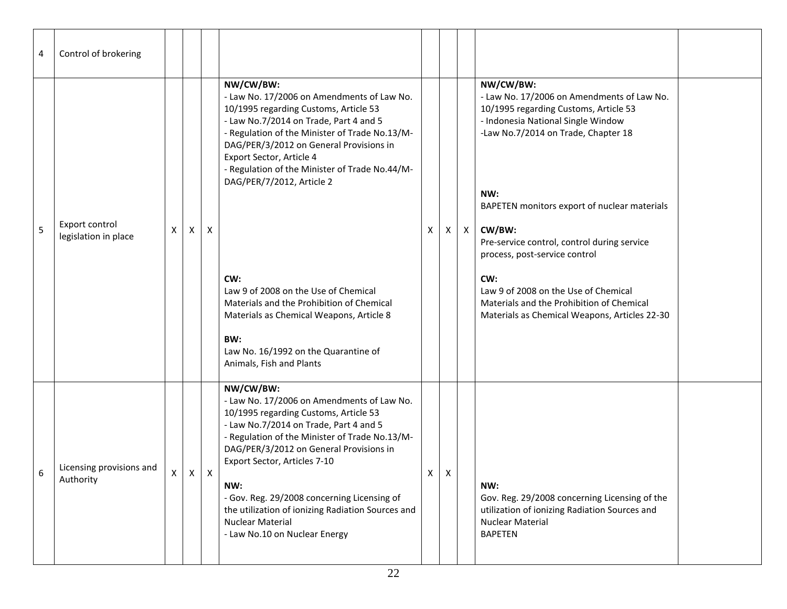| 4 | Control of brokering                   |    |          |              |                                                                                                                                                                                                                                                                                                                                                                                                                                                                                                                                                                       |    |   |         |                                                                                                                                                                                                                                                                                                                                                                                                                                                                             |
|---|----------------------------------------|----|----------|--------------|-----------------------------------------------------------------------------------------------------------------------------------------------------------------------------------------------------------------------------------------------------------------------------------------------------------------------------------------------------------------------------------------------------------------------------------------------------------------------------------------------------------------------------------------------------------------------|----|---|---------|-----------------------------------------------------------------------------------------------------------------------------------------------------------------------------------------------------------------------------------------------------------------------------------------------------------------------------------------------------------------------------------------------------------------------------------------------------------------------------|
| 5 | Export control<br>legislation in place | X  | Χ        | Χ            | NW/CW/BW:<br>- Law No. 17/2006 on Amendments of Law No.<br>10/1995 regarding Customs, Article 53<br>- Law No.7/2014 on Trade, Part 4 and 5<br>- Regulation of the Minister of Trade No.13/M-<br>DAG/PER/3/2012 on General Provisions in<br>Export Sector, Article 4<br>- Regulation of the Minister of Trade No.44/M-<br>DAG/PER/7/2012, Article 2<br>CW:<br>Law 9 of 2008 on the Use of Chemical<br>Materials and the Prohibition of Chemical<br>Materials as Chemical Weapons, Article 8<br>BW:<br>Law No. 16/1992 on the Quarantine of<br>Animals, Fish and Plants | X  |   | $X$ $X$ | NW/CW/BW:<br>- Law No. 17/2006 on Amendments of Law No.<br>10/1995 regarding Customs, Article 53<br>- Indonesia National Single Window<br>-Law No.7/2014 on Trade, Chapter 18<br>NW:<br>BAPETEN monitors export of nuclear materials<br>CW/BW:<br>Pre-service control, control during service<br>process, post-service control<br>CW:<br>Law 9 of 2008 on the Use of Chemical<br>Materials and the Prohibition of Chemical<br>Materials as Chemical Weapons, Articles 22-30 |
| 6 | Licensing provisions and<br>Authority  | X. | $\times$ | $\mathsf{X}$ | NW/CW/BW:<br>- Law No. 17/2006 on Amendments of Law No.<br>10/1995 regarding Customs, Article 53<br>- Law No.7/2014 on Trade, Part 4 and 5<br>- Regulation of the Minister of Trade No.13/M-<br>DAG/PER/3/2012 on General Provisions in<br>Export Sector, Articles 7-10<br>NW:<br>- Gov. Reg. 29/2008 concerning Licensing of<br>the utilization of ionizing Radiation Sources and<br><b>Nuclear Material</b><br>- Law No.10 on Nuclear Energy                                                                                                                        | X. | X |         | NW:<br>Gov. Reg. 29/2008 concerning Licensing of the<br>utilization of ionizing Radiation Sources and<br>Nuclear Material<br><b>BAPETEN</b>                                                                                                                                                                                                                                                                                                                                 |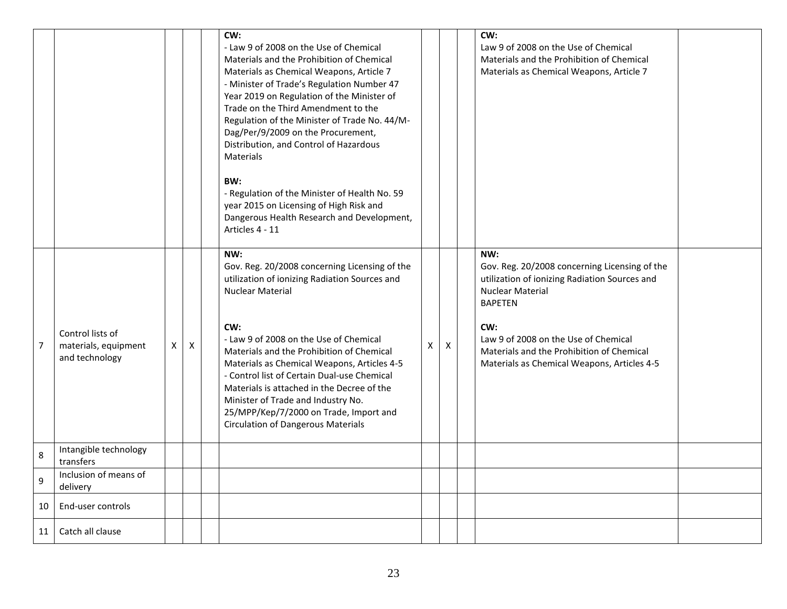|                |                                                            |   |   | CW:<br>- Law 9 of 2008 on the Use of Chemical<br>Materials and the Prohibition of Chemical<br>Materials as Chemical Weapons, Article 7<br>- Minister of Trade's Regulation Number 47<br>Year 2019 on Regulation of the Minister of<br>Trade on the Third Amendment to the<br>Regulation of the Minister of Trade No. 44/M-<br>Dag/Per/9/2009 on the Procurement,<br>Distribution, and Control of Hazardous<br>Materials<br>BW:<br>- Regulation of the Minister of Health No. 59<br>year 2015 on Licensing of High Risk and<br>Dangerous Health Research and Development,<br>Articles 4 - 11 |   |   | CW:<br>Law 9 of 2008 on the Use of Chemical<br>Materials and the Prohibition of Chemical<br>Materials as Chemical Weapons, Article 7                                                                                                           |  |
|----------------|------------------------------------------------------------|---|---|---------------------------------------------------------------------------------------------------------------------------------------------------------------------------------------------------------------------------------------------------------------------------------------------------------------------------------------------------------------------------------------------------------------------------------------------------------------------------------------------------------------------------------------------------------------------------------------------|---|---|------------------------------------------------------------------------------------------------------------------------------------------------------------------------------------------------------------------------------------------------|--|
| $\overline{7}$ | Control lists of<br>materials, equipment<br>and technology | X | X | NW:<br>Gov. Reg. 20/2008 concerning Licensing of the<br>utilization of ionizing Radiation Sources and<br><b>Nuclear Material</b><br>CW:<br>- Law 9 of 2008 on the Use of Chemical<br>Materials and the Prohibition of Chemical                                                                                                                                                                                                                                                                                                                                                              | X | X | NW:<br>Gov. Reg. 20/2008 concerning Licensing of the<br>utilization of ionizing Radiation Sources and<br><b>Nuclear Material</b><br><b>BAPETEN</b><br>CW:<br>Law 9 of 2008 on the Use of Chemical<br>Materials and the Prohibition of Chemical |  |
|                |                                                            |   |   | Materials as Chemical Weapons, Articles 4-5<br>- Control list of Certain Dual-use Chemical<br>Materials is attached in the Decree of the<br>Minister of Trade and Industry No.<br>25/MPP/Kep/7/2000 on Trade, Import and<br><b>Circulation of Dangerous Materials</b>                                                                                                                                                                                                                                                                                                                       |   |   | Materials as Chemical Weapons, Articles 4-5                                                                                                                                                                                                    |  |
| 8              | Intangible technology<br>transfers                         |   |   |                                                                                                                                                                                                                                                                                                                                                                                                                                                                                                                                                                                             |   |   |                                                                                                                                                                                                                                                |  |
| 9              | Inclusion of means of<br>delivery                          |   |   |                                                                                                                                                                                                                                                                                                                                                                                                                                                                                                                                                                                             |   |   |                                                                                                                                                                                                                                                |  |
| 10             | End-user controls                                          |   |   |                                                                                                                                                                                                                                                                                                                                                                                                                                                                                                                                                                                             |   |   |                                                                                                                                                                                                                                                |  |
| 11             | Catch all clause                                           |   |   |                                                                                                                                                                                                                                                                                                                                                                                                                                                                                                                                                                                             |   |   |                                                                                                                                                                                                                                                |  |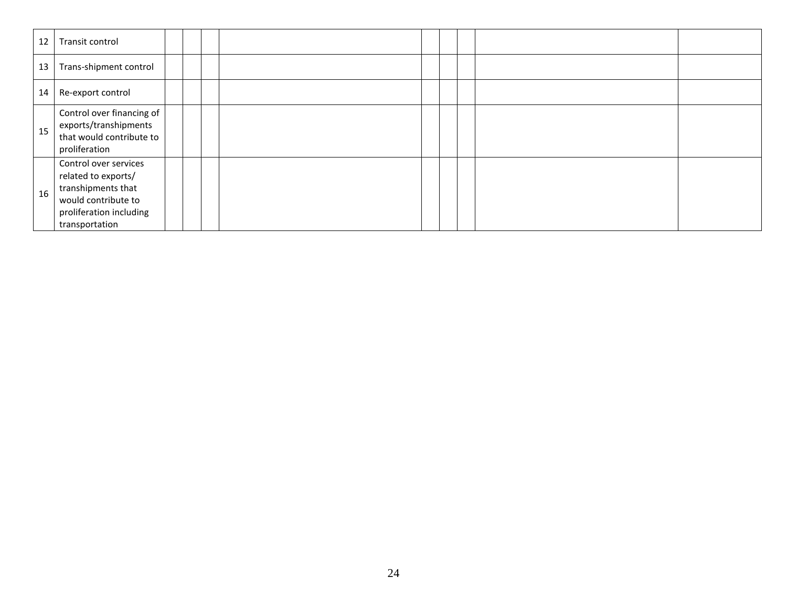| 12 | Transit control                                                                                                                        |  |  |  |  |  |
|----|----------------------------------------------------------------------------------------------------------------------------------------|--|--|--|--|--|
| 13 | Trans-shipment control                                                                                                                 |  |  |  |  |  |
| 14 | Re-export control                                                                                                                      |  |  |  |  |  |
| 15 | Control over financing of<br>exports/transhipments<br>that would contribute to<br>proliferation                                        |  |  |  |  |  |
| 16 | Control over services<br>related to exports/<br>transhipments that<br>would contribute to<br>proliferation including<br>transportation |  |  |  |  |  |